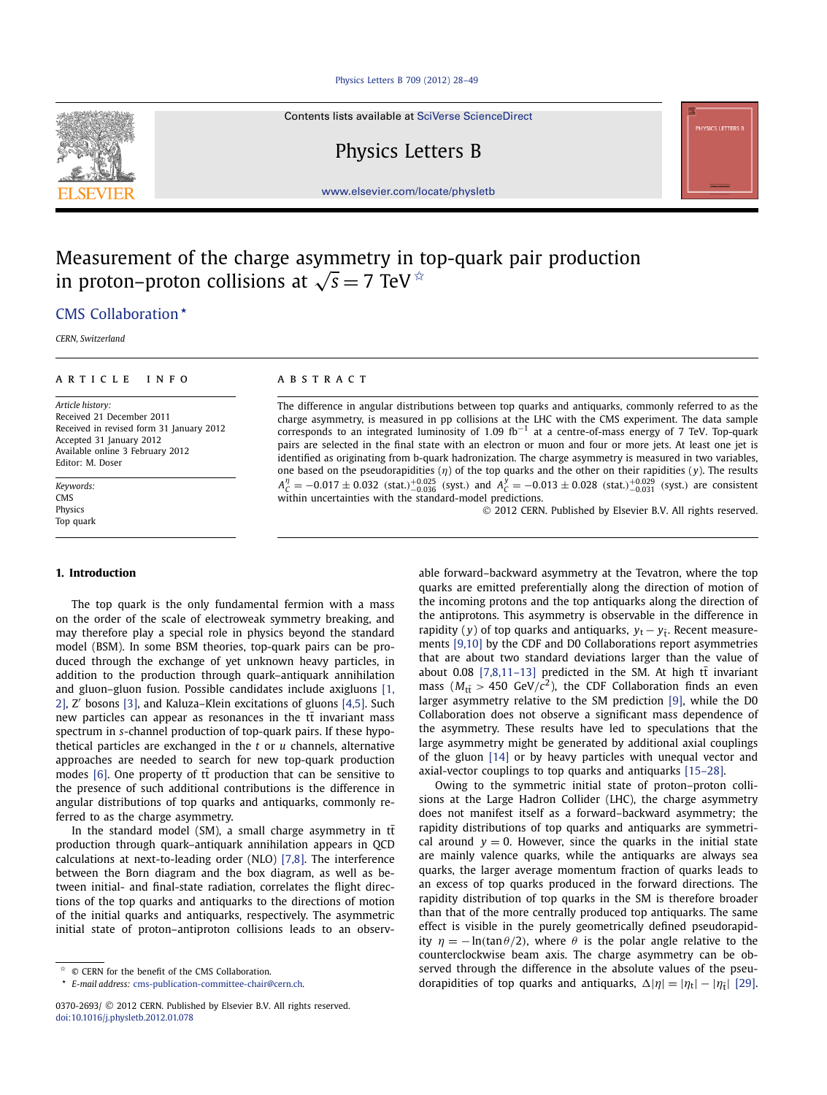#### [Physics Letters B 709 \(2012\) 28–49](http://dx.doi.org/10.1016/j.physletb.2012.01.078)

Contents lists available at [SciVerse ScienceDirect](http://www.ScienceDirect.com/)

Physics Letters B

[www.elsevier.com/locate/physletb](http://www.elsevier.com/locate/physletb)



# Measurement of the charge asymmetry in top-quark pair production in proton–proton collisions at  $\sqrt{s} = 7$  TeV  $*$

# [.CMS Collaboration](#page-7-0) *-*

*CERN, Switzerland*

#### article info abstract

*Article history:* Received 21 December 2011 Received in revised form 31 January 2012 Accepted 31 January 2012 Available online 3 February 2012 Editor: M. Doser

*Keywords:* CMS Physics Top quark

The difference in angular distributions between top quarks and antiquarks, commonly referred to as the charge asymmetry, is measured in pp collisions at the LHC with the CMS experiment. The data sample corresponds to an integrated luminosity of 1*.*09 fb−<sup>1</sup> at a centre-of-mass energy of 7 TeV. Top-quark pairs are selected in the final state with an electron or muon and four or more jets. At least one jet is identified as originating from b-quark hadronization. The charge asymmetry is measured in two variables, one based on the pseudorapidities (*η*) of the top quarks and the other on their rapidities (*y*). The results  $A_1^{\eta} = -0.017 \pm 0.032$  (stat.) $^{+0.025}_{-0.036}$  (syst.) and  $A_2^{\nu} = -0.013 \pm 0.028$  (stat.) $^{+0.029}_{-0.031}$  (syst.) are consistent within uncertainties with the standard-model predictions.

© 2012 CERN. Published by Elsevier B.V. All rights reserved.

## **1. Introduction**

The top quark is the only fundamental fermion with a mass on the order of the scale of electroweak symmetry breaking, and may therefore play a special role in physics beyond the standard model (BSM). In some BSM theories, top-quark pairs can be produced through the exchange of yet unknown heavy particles, in addition to the production through quark–antiquark annihilation and gluon–gluon fusion. Possible candidates include axigluons [\[1,](#page-7-0) [2\],](#page-7-0) Z' bosons [\[3\],](#page-7-0) and Kaluza–Klein excitations of gluons  $[4,5]$ . Such new particles can appear as resonances in the  $t\bar{t}$  invariant mass spectrum in *s*-channel production of top-quark pairs. If these hypothetical particles are exchanged in the *t* or *u* channels, alternative approaches are needed to search for new top-quark production modes [\[6\].](#page-7-0) One property of  $t\bar{t}$  production that can be sensitive to the presence of such additional contributions is the difference in angular distributions of top quarks and antiquarks, commonly referred to as the charge asymmetry.

In the standard model (SM), a small charge asymmetry in  $t\bar{t}$ production through quark–antiquark annihilation appears in QCD calculations at next-to-leading order (NLO) [\[7,8\].](#page-7-0) The interference between the Born diagram and the box diagram, as well as between initial- and final-state radiation, correlates the flight directions of the top quarks and antiquarks to the directions of motion of the initial quarks and antiquarks, respectively. The asymmetric initial state of proton–antiproton collisions leads to an observable forward–backward asymmetry at the Tevatron, where the top quarks are emitted preferentially along the direction of motion of the incoming protons and the top antiquarks along the direction of the antiprotons. This asymmetry is observable in the difference in rapidity (*y*) of top quarks and antiquarks,  $y_t - y_{\overline{t}}$ . Recent measurements [\[9,10\]](#page-7-0) by the CDF and D0 Collaborations report asymmetries that are about two standard deviations larger than the value of about 0.08 [7,8,11-13] predicted in the SM. At high  $t\bar{t}$  invariant mass ( $M_{\text{tf}} > 450 \text{ GeV}/c^2$ ), the CDF Collaboration finds an even larger asymmetry relative to the SM prediction [\[9\],](#page-7-0) while the D0 Collaboration does not observe a significant mass dependence of the asymmetry. These results have led to speculations that the large asymmetry might be generated by additional axial couplings of the gluon [\[14\]](#page-7-0) or by heavy particles with unequal vector and axial-vector couplings to top quarks and antiquarks [\[15–28\].](#page-7-0)

Owing to the symmetric initial state of proton–proton collisions at the Large Hadron Collider (LHC), the charge asymmetry does not manifest itself as a forward–backward asymmetry; the rapidity distributions of top quarks and antiquarks are symmetrical around  $y = 0$ . However, since the quarks in the initial state are mainly valence quarks, while the antiquarks are always sea quarks, the larger average momentum fraction of quarks leads to an excess of top quarks produced in the forward directions. The rapidity distribution of top quarks in the SM is therefore broader than that of the more centrally produced top antiquarks. The same effect is visible in the purely geometrically defined pseudorapidity  $\eta = -\ln(\tan \theta/2)$ , where  $\theta$  is the polar angle relative to the counterclockwise beam axis. The charge asymmetry can be observed through the difference in the absolute values of the pseudorapidities of top quarks and antiquarks,  $\Delta|\eta|=|\eta_t|-|\eta_{\bar{t}}|$  [\[29\].](#page-7-0)

 $\hat{z}$  © CERN for the benefit of the CMS Collaboration.

*<sup>-</sup> E-mail address:* [cms-publication-committee-chair@cern.ch](mailto:cms-publication-committee-chair@cern.ch).

<sup>0370-2693/</sup> © 2012 CERN. Published by Elsevier B.V. All rights reserved. [doi:10.1016/j.physletb.2012.01.078](http://dx.doi.org/10.1016/j.physletb.2012.01.078)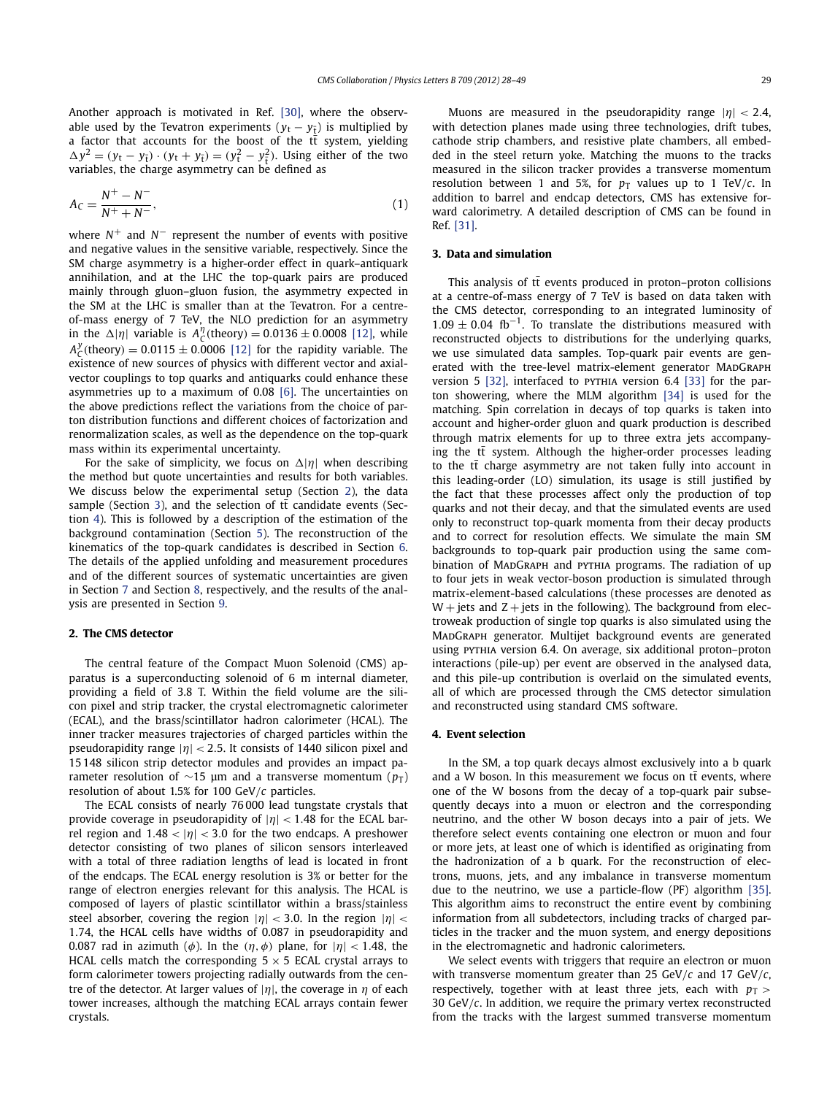<span id="page-1-0"></span>Another approach is motivated in Ref. [\[30\],](#page-7-0) where the observable used by the Tevatron experiments  $(y_t - y_{\overline{t}})$  is multiplied by a factor that accounts for the boost of the  $t\bar{t}$  system, yielding  $\Delta y^2 = (y_t - y_{\bar{t}}) \cdot (y_t + y_{\bar{t}}) = (y_t^2 - y_{\bar{t}}^2)$ . Using either of the two variables, the charge asymmetry can be defined as

$$
A_C = \frac{N^+ - N^-}{N^+ + N^-},\tag{1}
$$

where *N*+ and *N*− represent the number of events with positive and negative values in the sensitive variable, respectively. Since the SM charge asymmetry is a higher-order effect in quark–antiquark annihilation, and at the LHC the top-quark pairs are produced mainly through gluon–gluon fusion, the asymmetry expected in the SM at the LHC is smaller than at the Tevatron. For a centreof-mass energy of 7 TeV, the NLO prediction for an asymmetry in the  $\Delta |\eta|$  variable is  $A_C^{\eta}$  (theory) = 0.0136 ± 0.0008 [\[12\],](#page-7-0) while  $A_C^y$ (theory) = 0.0115  $\pm$  0.0006 [\[12\]](#page-7-0) for the rapidity variable. The existence of new sources of physics with different vector and axialvector couplings to top quarks and antiquarks could enhance these asymmetries up to a maximum of 0.08 [\[6\].](#page-7-0) The uncertainties on the above predictions reflect the variations from the choice of parton distribution functions and different choices of factorization and renormalization scales, as well as the dependence on the top-quark mass within its experimental uncertainty.

For the sake of simplicity, we focus on  $\Delta |\eta|$  when describing the method but quote uncertainties and results for both variables. We discuss below the experimental setup (Section 2), the data sample (Section 3), and the selection of  $t\bar{t}$  candidate events (Section 4). This is followed by a description of the estimation of the background contamination (Section [5\)](#page-2-0). The reconstruction of the kinematics of the top-quark candidates is described in Section [6.](#page-3-0) The details of the applied unfolding and measurement procedures and of the different sources of systematic uncertainties are given in Section [7](#page-4-0) and Section [8,](#page-5-0) respectively, and the results of the analysis are presented in Section [9.](#page-5-0)

#### **2. The CMS detector**

The central feature of the Compact Muon Solenoid (CMS) apparatus is a superconducting solenoid of 6 m internal diameter, providing a field of 3.8 T. Within the field volume are the silicon pixel and strip tracker, the crystal electromagnetic calorimeter (ECAL), and the brass/scintillator hadron calorimeter (HCAL). The inner tracker measures trajectories of charged particles within the pseudorapidity range |*η*| *<* <sup>2</sup>*.*5. It consists of 1440 silicon pixel and 15 148 silicon strip detector modules and provides an impact parameter resolution of  $\sim$ 15 µm and a transverse momentum ( $p_T$ ) resolution of about 1.5% for 100 GeV*/c* particles.

The ECAL consists of nearly 76 000 lead tungstate crystals that provide coverage in pseudorapidity of |*η*| *<* <sup>1</sup>*.*48 for the ECAL barrel region and  $1.48 < |\eta| < 3.0$  for the two endcaps. A preshower detector consisting of two planes of silicon sensors interleaved with a total of three radiation lengths of lead is located in front of the endcaps. The ECAL energy resolution is 3% or better for the range of electron energies relevant for this analysis. The HCAL is composed of layers of plastic scintillator within a brass/stainless steel absorber, covering the region  $|\eta| < 3.0$ . In the region  $|\eta| <$ 1*.*74, the HCAL cells have widths of 0.087 in pseudorapidity and 0.087 rad in azimuth ( $\phi$ ). In the  $(\eta, \phi)$  plane, for  $|\eta| < 1.48$ , the HCAL cells match the corresponding  $5 \times 5$  ECAL crystal arrays to form calorimeter towers projecting radially outwards from the centre of the detector. At larger values of |*η*|, the coverage in *η* of each tower increases, although the matching ECAL arrays contain fewer crystals.

Muons are measured in the pseudorapidity range |*η*| *<* <sup>2</sup>*.*4, with detection planes made using three technologies, drift tubes, cathode strip chambers, and resistive plate chambers, all embedded in the steel return yoke. Matching the muons to the tracks measured in the silicon tracker provides a transverse momentum resolution between 1 and 5%, for  $p<sub>T</sub>$  values up to 1 TeV/*c*. In addition to barrel and endcap detectors, CMS has extensive forward calorimetry. A detailed description of CMS can be found in Ref. [\[31\].](#page-7-0)

#### **3. Data and simulation**

This analysis of  $t\bar{t}$  events produced in proton–proton collisions at a centre-of-mass energy of 7 TeV is based on data taken with the CMS detector, corresponding to an integrated luminosity of  $1.09 \pm 0.04$  fb<sup>-1</sup>. To translate the distributions measured with reconstructed objects to distributions for the underlying quarks, we use simulated data samples. Top-quark pair events are generated with the tree-level matrix-element generator MADGRAPH version 5 [\[32\],](#page-7-0) interfaced to PYTHIA version 6.4 [\[33\]](#page-7-0) for the parton showering, where the MLM algorithm [\[34\]](#page-7-0) is used for the matching. Spin correlation in decays of top quarks is taken into account and higher-order gluon and quark production is described through matrix elements for up to three extra jets accompanying the  $t\bar{t}$  system. Although the higher-order processes leading to the  $t\bar{t}$  charge asymmetry are not taken fully into account in this leading-order (LO) simulation, its usage is still justified by the fact that these processes affect only the production of top quarks and not their decay, and that the simulated events are used only to reconstruct top-quark momenta from their decay products and to correct for resolution effects. We simulate the main SM backgrounds to top-quark pair production using the same combination of MADGRAPH and PYTHIA programs. The radiation of up to four jets in weak vector-boson production is simulated through matrix-element-based calculations (these processes are denoted as  $W$  + jets and Z + jets in the following). The background from electroweak production of single top quarks is also simulated using the MadGraph generator. Multijet background events are generated using pythia version 6.4. On average, six additional proton–proton interactions (pile-up) per event are observed in the analysed data, and this pile-up contribution is overlaid on the simulated events, all of which are processed through the CMS detector simulation and reconstructed using standard CMS software.

#### **4. Event selection**

In the SM, a top quark decays almost exclusively into a b quark and a W boson. In this measurement we focus on  $t\bar{t}$  events, where one of the W bosons from the decay of a top-quark pair subsequently decays into a muon or electron and the corresponding neutrino, and the other W boson decays into a pair of jets. We therefore select events containing one electron or muon and four or more jets, at least one of which is identified as originating from the hadronization of a b quark. For the reconstruction of electrons, muons, jets, and any imbalance in transverse momentum due to the neutrino, we use a particle-flow (PF) algorithm [\[35\].](#page-7-0) This algorithm aims to reconstruct the entire event by combining information from all subdetectors, including tracks of charged particles in the tracker and the muon system, and energy depositions in the electromagnetic and hadronic calorimeters.

We select events with triggers that require an electron or muon with transverse momentum greater than 25 GeV*/c* and 17 GeV*/c*, respectively, together with at least three jets, each with  $p_T >$ 30 GeV*/c*. In addition, we require the primary vertex reconstructed from the tracks with the largest summed transverse momentum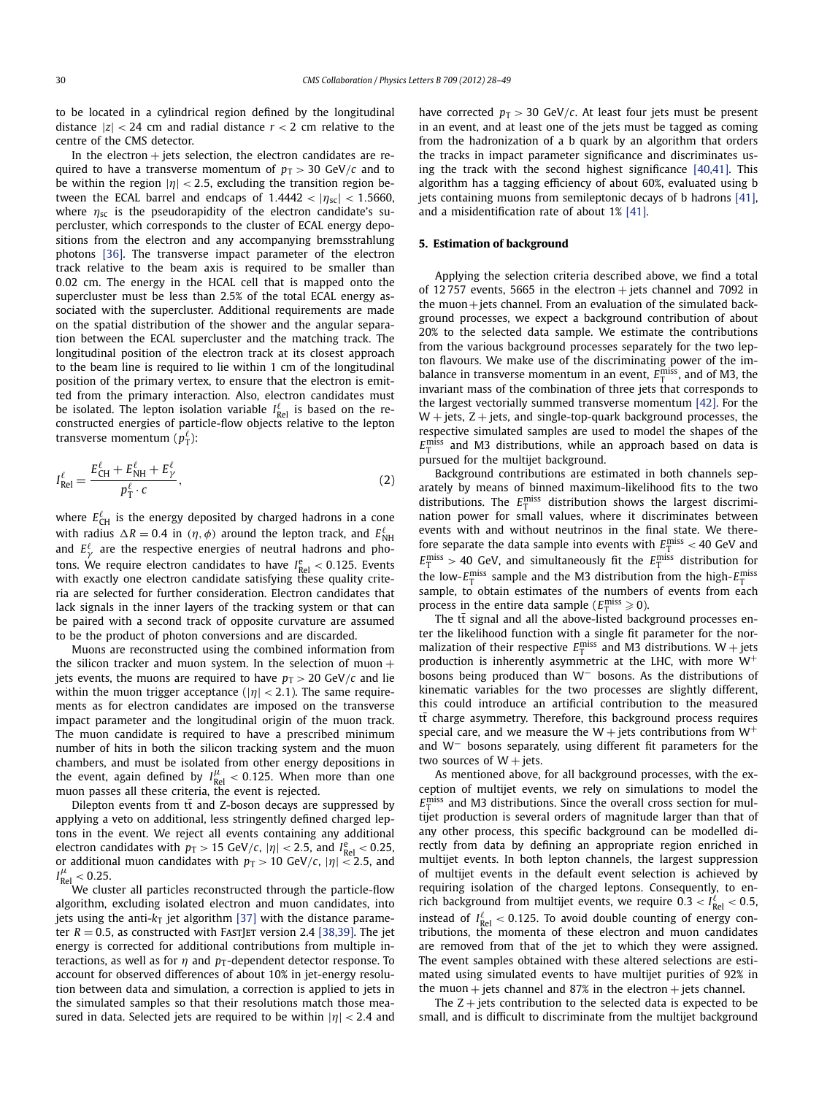<span id="page-2-0"></span>to be located in a cylindrical region defined by the longitudinal distance  $|z|$  < 24 cm and radial distance  $r$  < 2 cm relative to the centre of the CMS detector.

In the electron  $+$  jets selection, the electron candidates are required to have a transverse momentum of  $p<sub>T</sub> > 30$  GeV/*c* and to be within the region  $|\eta|$  < 2.5, excluding the transition region between the ECAL barrel and endcaps of  $1.4442 < |\eta_{sc}| < 1.5660$ , where *η<sub>sc</sub>* is the pseudorapidity of the electron candidate's supercluster, which corresponds to the cluster of ECAL energy depositions from the electron and any accompanying bremsstrahlung photons [\[36\].](#page-7-0) The transverse impact parameter of the electron track relative to the beam axis is required to be smaller than 0*.*02 cm. The energy in the HCAL cell that is mapped onto the supercluster must be less than 2.5% of the total ECAL energy associated with the supercluster. Additional requirements are made on the spatial distribution of the shower and the angular separation between the ECAL supercluster and the matching track. The longitudinal position of the electron track at its closest approach to the beam line is required to lie within 1 cm of the longitudinal position of the primary vertex, to ensure that the electron is emitted from the primary interaction. Also, electron candidates must be isolated. The lepton isolation variable  $I_{\text{Rel}}^{\ell}$  is based on the reconstructed energies of particle-flow objects relative to the lepton transverse momentum ( $p_{\rm T}^{\ell}$ ):

$$
I_{\text{Rel}}^{\ell} = \frac{E_{\text{CH}}^{\ell} + E_{\text{NH}}^{\ell} + E_{\gamma}^{\ell}}{p_{\text{T}}^{\ell} \cdot c},\tag{2}
$$

where  $E_{\text{CH}}^{\ell}$  is the energy deposited by charged hadrons in a cone with radius  $\Delta R = 0.4$  in  $(\eta, \phi)$  around the lepton track, and  $E_{\text{NH}}^{\ell}$ and  $E_{\gamma}^{\ell}$  are the respective energies of neutral hadrons and photons. We require electron candidates to have  $I_{\text{Rel}}^{\text{e}} < 0.125$ . Events with exactly one electron candidate satisfying these quality criteria are selected for further consideration. Electron candidates that lack signals in the inner layers of the tracking system or that can be paired with a second track of opposite curvature are assumed to be the product of photon conversions and are discarded.

Muons are reconstructed using the combined information from the silicon tracker and muon system. In the selection of muon  $+$ jets events, the muons are required to have  $p_T > 20$  GeV/*c* and lie within the muon trigger acceptance ( $|\eta|$  < 2.1). The same requirements as for electron candidates are imposed on the transverse impact parameter and the longitudinal origin of the muon track. The muon candidate is required to have a prescribed minimum number of hits in both the silicon tracking system and the muon chambers, and must be isolated from other energy depositions in the event, again defined by  $I_{\text{Rel}}^{\mu} < 0.125$ . When more than one muon passes all these criteria, the event is rejected.

Dilepton events from  $t\bar{t}$  and Z-boson decays are suppressed by applying a veto on additional, less stringently defined charged leptons in the event. We reject all events containing any additional electron candidates with  $p_T > 15$  GeV/*c*,  $|\eta| < 2.5$ , and  $I_{\text{Rel}}^{\text{e}} < 0.25$ , or additional muon candidates with  $p_T > 10$  GeV/*c*,  $|\eta| < 2.5$ , and  $I_{\text{Rel}}^{\mu}$  < 0.25.

We cluster all particles reconstructed through the particle-flow algorithm, excluding isolated electron and muon candidates, into jets using the anti- $k<sub>T</sub>$  jet algorithm [\[37\]](#page-7-0) with the distance parameter  $R = 0.5$ , as constructed with FASTJET version 2.4 [\[38,39\].](#page-7-0) The jet energy is corrected for additional contributions from multiple interactions, as well as for  $\eta$  and  $p_T$ -dependent detector response. To account for observed differences of about 10% in jet-energy resolution between data and simulation, a correction is applied to jets in the simulated samples so that their resolutions match those measured in data. Selected jets are required to be within |*η*| *<* <sup>2</sup>*.*4 and

have corrected  $p_T > 30$  GeV/*c*. At least four jets must be present in an event, and at least one of the jets must be tagged as coming from the hadronization of a b quark by an algorithm that orders the tracks in impact parameter significance and discriminates using the track with the second highest significance [\[40,41\].](#page-7-0) This algorithm has a tagging efficiency of about 60%, evaluated using b jets containing muons from semileptonic decays of b hadrons [\[41\],](#page-7-0) and a misidentification rate of about 1% [\[41\].](#page-7-0)

#### **5. Estimation of background**

Applying the selection criteria described above, we find a total of 12757 events, 5665 in the electron  $+$  jets channel and 7092 in the muon $+$  jets channel. From an evaluation of the simulated background processes, we expect a background contribution of about 20% to the selected data sample. We estimate the contributions from the various background processes separately for the two lepton flavours. We make use of the discriminating power of the imbalance in transverse momentum in an event,  $E_{\text{T}}^{\text{miss}}$ , and of M3, the invariant mass of the combination of three jets that corresponds to the largest vectorially summed transverse momentum [\[42\].](#page-7-0) For the  $W +$  jets,  $Z +$  jets, and single-top-quark background processes, the respective simulated samples are used to model the shapes of the  $E_{\rm T}^{\rm miss}$  and M3 distributions, while an approach based on data is pursued for the multijet background.

Background contributions are estimated in both channels separately by means of binned maximum-likelihood fits to the two distributions. The  $E_{\text{T}}^{\text{miss}}$  distribution shows the largest discrimination power for small values, where it discriminates between events with and without neutrinos in the final state. We therefore separate the data sample into events with  $E_{\text{T}}^{\text{miss}} < 40$  GeV and  $E_{\rm T}^{\rm miss} > 40$  GeV, and simultaneously fit the  $E_{\rm T}^{\rm miss}$  distribution for the low- $E_{\text{T}}^{\text{miss}}$  sample and the M3 distribution from the high- $E_{\text{T}}^{\text{miss}}$ sample, to obtain estimates of the numbers of events from each process in the entire data sample ( $E_T^{\text{miss}} \geq 0$ ).

The  $t\bar{t}$  signal and all the above-listed background processes enter the likelihood function with a single fit parameter for the normalization of their respective  $E_{\text{T}}^{\text{miss}}$  and M3 distributions. W + jets production is inherently asymmetric at the LHC, with more  $W^+$ bosons being produced than W− bosons. As the distributions of kinematic variables for the two processes are slightly different, this could introduce an artificial contribution to the measured tt charge asymmetry. Therefore, this background process requires special care, and we measure the  $W +$  jets contributions from  $W^+$ and W− bosons separately, using different fit parameters for the two sources of  $W +$  jets.

As mentioned above, for all background processes, with the exception of multijet events, we rely on simulations to model the  $E_{\rm T}^{\rm miss}$  and M3 distributions. Since the overall cross section for multijet production is several orders of magnitude larger than that of any other process, this specific background can be modelled directly from data by defining an appropriate region enriched in multijet events. In both lepton channels, the largest suppression of multijet events in the default event selection is achieved by requiring isolation of the charged leptons. Consequently, to enrich background from multijet events, we require  $0.3 < I_{\text{Rel}}^{\ell} < 0.5$ , instead of  $I_{\text{Rel}}^{\ell}$  < 0.125. To avoid double counting of energy contributions, the momenta of these electron and muon candidates are removed from that of the jet to which they were assigned. The event samples obtained with these altered selections are estimated using simulated events to have multijet purities of 92% in the muon  $+$  jets channel and 87% in the electron  $+$  jets channel.

The  $Z +$  jets contribution to the selected data is expected to be small, and is difficult to discriminate from the multijet background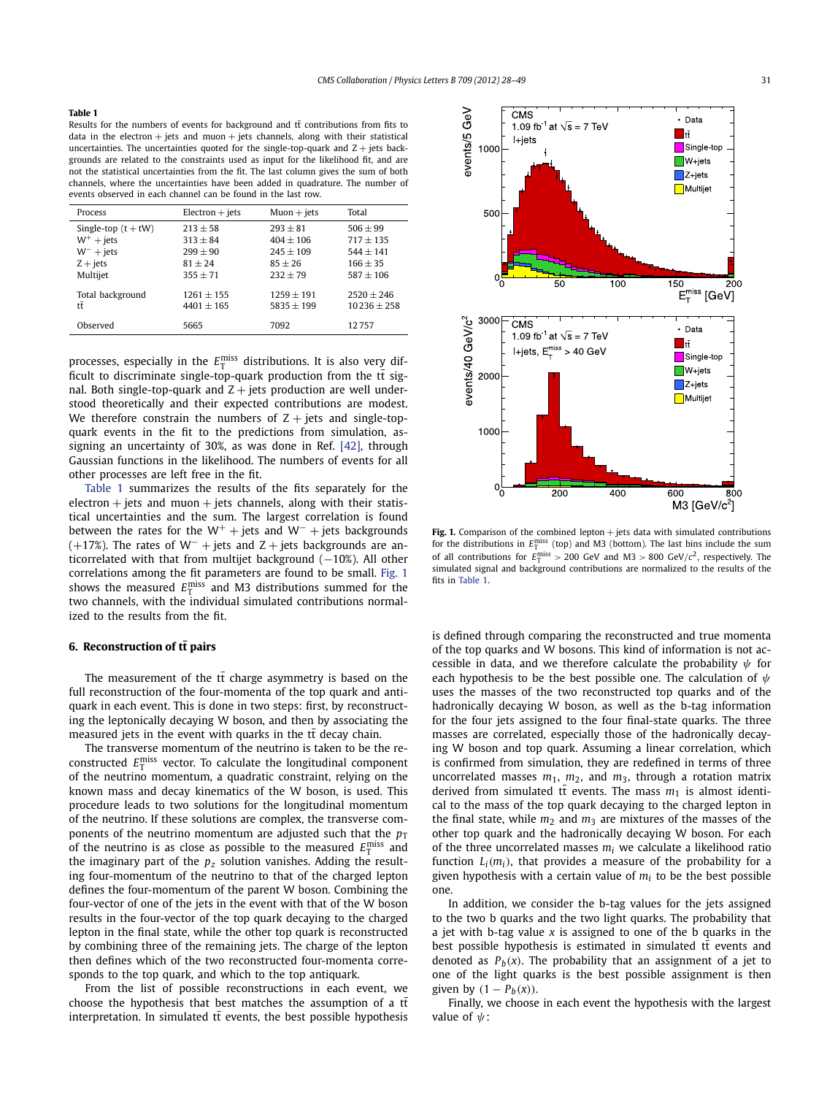#### <span id="page-3-0"></span>**Table 1**

Results for the numbers of events for background and  $t\bar{t}$  contributions from fits to data in the electron  $+$  jets and muon  $+$  jets channels, along with their statistical uncertainties. The uncertainties quoted for the single-top-quark and  $Z + i$ ets backgrounds are related to the constraints used as input for the likelihood fit, and are not the statistical uncertainties from the fit. The last column gives the sum of both channels, where the uncertainties have been added in quadrature. The number of events observed in each channel can be found in the last row.

| Process               | $Electron + jets$ | $Muon + jets$ | Total         |
|-----------------------|-------------------|---------------|---------------|
| Single-top $(t + tW)$ | $213 + 58$        | $293 + 81$    | $506 + 99$    |
| $W^+$ + jets          | $313 + 84$        | $404 + 106$   | $717 + 135$   |
| $W^-$ + jets          | $299 + 90$        | $245 \pm 109$ | $544 + 141$   |
| $Z + jets$            | $81 + 24$         | $85 + 26$     | $166 + 35$    |
| Multijet              | $355 + 71$        | $232 + 79$    | $587 + 106$   |
| Total background      | $1261 + 155$      | $1259 + 191$  | $2520 + 246$  |
| tt                    | $4401 + 165$      | $5835 + 199$  | $10236 + 258$ |
| Observed              | 5665              | 7092          | 12757         |

processes, especially in the  $E_{\textrm{T}}^{\textrm{miss}}$  distributions. It is also very difficult to discriminate single-top-quark production from the  $t\bar{t}$  signal. Both single-top-quark and  $Z +$  jets production are well understood theoretically and their expected contributions are modest. We therefore constrain the numbers of  $Z +$  jets and single-topquark events in the fit to the predictions from simulation, assigning an uncertainty of 30%, as was done in Ref. [\[42\],](#page-7-0) through Gaussian functions in the likelihood. The numbers of events for all other processes are left free in the fit.

Table 1 summarizes the results of the fits separately for the electron  $+$  jets and muon  $+$  jets channels, along with their statistical uncertainties and the sum. The largest correlation is found between the rates for the W<sup>+</sup> + jets and W<sup>-</sup> + jets backgrounds (+17%). The rates of  $W^-$  + jets and Z + jets backgrounds are anticorrelated with that from multijet background (−10%). All other correlations among the fit parameters are found to be small. Fig. 1 shows the measured  $E_{\text{T}}^{\text{miss}}$  and M3 distributions summed for the two channels, with the individual simulated contributions normalized to the results from the fit.

#### **6. Reconstruction of tt pairs**

The measurement of the  $t\bar{t}$  charge asymmetry is based on the full reconstruction of the four-momenta of the top quark and antiquark in each event. This is done in two steps: first, by reconstructing the leptonically decaying W boson, and then by associating the measured jets in the event with quarks in the  $t\bar{t}$  decay chain.

The transverse momentum of the neutrino is taken to be the reconstructed  $E_{\rm T}^{\rm miss}$  vector. To calculate the longitudinal component of the neutrino momentum, a quadratic constraint, relying on the known mass and decay kinematics of the W boson, is used. This procedure leads to two solutions for the longitudinal momentum of the neutrino. If these solutions are complex, the transverse components of the neutrino momentum are adjusted such that the  $p<sub>T</sub>$ of the neutrino is as close as possible to the measured  $E_{\text{T}}^{\text{miss}}$  and the imaginary part of the  $p<sub>z</sub>$  solution vanishes. Adding the resulting four-momentum of the neutrino to that of the charged lepton defines the four-momentum of the parent W boson. Combining the four-vector of one of the jets in the event with that of the W boson results in the four-vector of the top quark decaying to the charged lepton in the final state, while the other top quark is reconstructed by combining three of the remaining jets. The charge of the lepton then defines which of the two reconstructed four-momenta corresponds to the top quark, and which to the top antiquark.

From the list of possible reconstructions in each event, we choose the hypothesis that best matches the assumption of a  $t\bar{t}$ interpretation. In simulated  $t\bar{t}$  events, the best possible hypothesis



**Fig. 1.** Comparison of the combined lepton + jets data with simulated contributions for the distributions in  $E_{\text{T}}^{\text{miss}}$  (top) and M3 (bottom). The last bins include the sum of all contributions for  $E_T^{\text{miss}} > 200$  GeV and M3  $> 800$  GeV/ $c^2$ , respectively. The simulated signal and background contributions are normalized to the results of the fits in Table 1.

is defined through comparing the reconstructed and true momenta of the top quarks and W bosons. This kind of information is not accessible in data, and we therefore calculate the probability *ψ* for each hypothesis to be the best possible one. The calculation of *ψ* uses the masses of the two reconstructed top quarks and of the hadronically decaying W boson, as well as the b-tag information for the four jets assigned to the four final-state quarks. The three masses are correlated, especially those of the hadronically decaying W boson and top quark. Assuming a linear correlation, which is confirmed from simulation, they are redefined in terms of three uncorrelated masses  $m_1$ ,  $m_2$ , and  $m_3$ , through a rotation matrix derived from simulated  $t\bar{t}$  events. The mass  $m_1$  is almost identical to the mass of the top quark decaying to the charged lepton in the final state, while  $m_2$  and  $m_3$  are mixtures of the masses of the other top quark and the hadronically decaying W boson. For each of the three uncorrelated masses  $m_i$  we calculate a likelihood ratio function  $L_i(m_i)$ , that provides a measure of the probability for a given hypothesis with a certain value of *mi* to be the best possible one.

In addition, we consider the b-tag values for the jets assigned to the two b quarks and the two light quarks. The probability that a jet with b-tag value *x* is assigned to one of the b quarks in the best possible hypothesis is estimated in simulated  $t\bar{t}$  events and denoted as  $P_b(x)$ . The probability that an assignment of a jet to one of the light quarks is the best possible assignment is then given by  $(1 - P_h(x))$ .

Finally, we choose in each event the hypothesis with the largest value of *ψ*: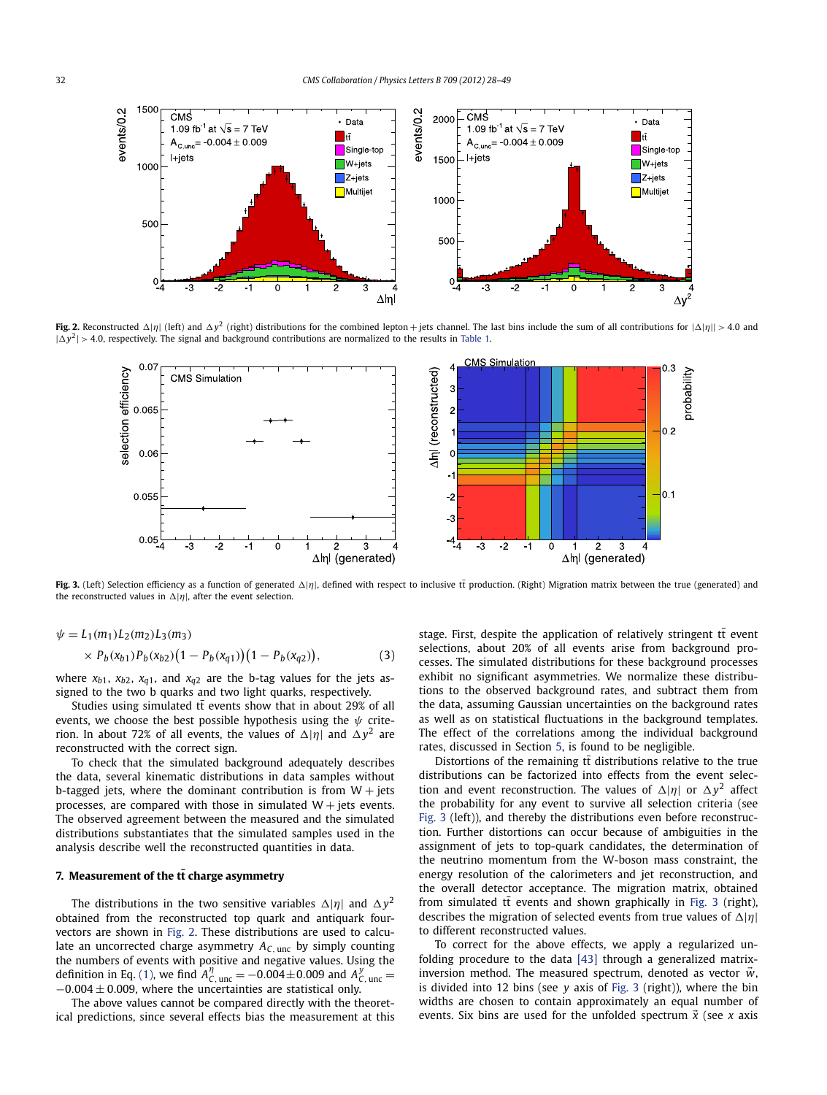<span id="page-4-0"></span>

Fig. 2. Reconstructed  $\Delta |\eta|$  (left) and  $\Delta \nu^2$  (right) distributions for the combined lepton + jets channel. The last bins include the sum of all contributions for  $|\Delta |\eta|| > 4.0$  and  $|\Delta v^2| > 4.0$ , respectively. The signal and background contributions are normalized to the results in [Table 1.](#page-3-0)



**Fig. 3.** (Left) Selection efficiency as a function of generated  $\Delta|\eta|$ , defined with respect to inclusive tt production. (Right) Migration matrix between the true (generated) and the reconstructed values in  $\Delta|\eta|$ , after the event selection.

$$
\psi = L_1(m_1)L_2(m_2)L_3(m_3) \times P_b(x_{b1})P_b(x_{b2})(1 - P_b(x_{q1}))(1 - P_b(x_{q2})),
$$
\n(3)

where  $x_{b1}$ ,  $x_{b2}$ ,  $x_{q1}$ , and  $x_{q2}$  are the b-tag values for the jets assigned to the two b quarks and two light quarks, respectively.

Studies using simulated  $t\bar{t}$  events show that in about 29% of all events, we choose the best possible hypothesis using the *ψ* criterion. In about 72% of all events, the values of  $\Delta |\eta|$  and  $\Delta y^2$  are reconstructed with the correct sign.

To check that the simulated background adequately describes the data, several kinematic distributions in data samples without b-tagged jets, where the dominant contribution is from  $W + j$ ets processes, are compared with those in simulated  $W +$  jets events. The observed agreement between the measured and the simulated distributions substantiates that the simulated samples used in the analysis describe well the reconstructed quantities in data.

#### **7.** Measurement of the tt charge asymmetry

The distributions in the two sensitive variables  $\Delta |\eta|$  and  $\Delta y^2$ obtained from the reconstructed top quark and antiquark fourvectors are shown in Fig. 2. These distributions are used to calculate an uncorrected charge asymmetry  $A_{C \text{, unc}}$  by simply counting the numbers of events with positive and negative values. Using the definition in Eq. [\(1\),](#page-1-0) we find  $A_C^{\eta}$ <sub>C</sub>, unc = −0*.004*±0*.009* and  $A_C^{\gamma}$ <sub>C</sub>, unc = −0*.004* ± 0*.009*, where the uncertainties are statistical only.

The above values cannot be compared directly with the theoretical predictions, since several effects bias the measurement at this stage. First, despite the application of relatively stringent tt event selections, about 20% of all events arise from background processes. The simulated distributions for these background processes exhibit no significant asymmetries. We normalize these distributions to the observed background rates, and subtract them from the data, assuming Gaussian uncertainties on the background rates as well as on statistical fluctuations in the background templates. The effect of the correlations among the individual background rates, discussed in Section [5,](#page-2-0) is found to be negligible.

Distortions of the remaining  $t\bar{t}$  distributions relative to the true distributions can be factorized into effects from the event selection and event reconstruction. The values of  $\Delta |\eta|$  or  $\Delta y^2$  affect the probability for any event to survive all selection criteria (see Fig. 3 (left)), and thereby the distributions even before reconstruction. Further distortions can occur because of ambiguities in the assignment of jets to top-quark candidates, the determination of the neutrino momentum from the W-boson mass constraint, the energy resolution of the calorimeters and jet reconstruction, and the overall detector acceptance. The migration matrix, obtained from simulated  $t\bar{t}$  events and shown graphically in Fig. 3 (right), describes the migration of selected events from true values of  $\Delta |\eta|$ to different reconstructed values.

To correct for the above effects, we apply a regularized unfolding procedure to the data [\[43\]](#page-7-0) through a generalized matrixinversion method. The measured spectrum, denoted as vector  $\vec{w}$ , is divided into 12 bins (see *y* axis of Fig. 3 (right)), where the bin widths are chosen to contain approximately an equal number of events. Six bins are used for the unfolded spectrum  $\vec{x}$  (see x axis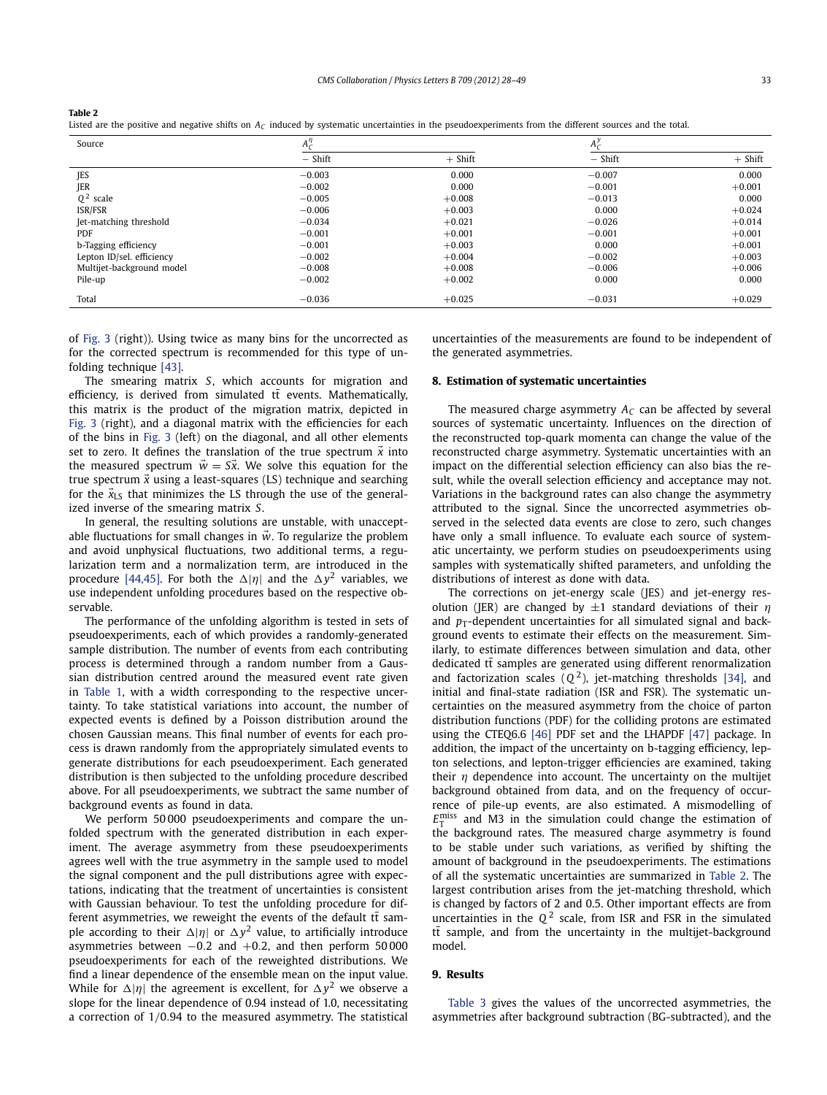| I |  |
|---|--|
|   |  |

| Listed are the positive and negative shifts on $AC$ induced by systematic uncertainties in the pseudoexperiments from the different sources and the total. |           |           |           |           |  |
|------------------------------------------------------------------------------------------------------------------------------------------------------------|-----------|-----------|-----------|-----------|--|
| Source                                                                                                                                                     | $A''_c$   |           |           | $A_c^y$   |  |
|                                                                                                                                                            | $-$ Shift | $+$ Shift | $-$ Shift | $+$ Shift |  |
| JES                                                                                                                                                        | $-0.003$  | 0.000     | $-0.007$  | 0.000     |  |
| <b>JER</b>                                                                                                                                                 | $-0.002$  | 0.000     | $-0.001$  | $+0.001$  |  |
| $Q^2$ scale                                                                                                                                                | $-0.005$  | $+0.008$  | $-0.013$  | 0.000     |  |
| ISR/FSR                                                                                                                                                    | $-0.006$  | $+0.003$  | 0.000     | $+0.024$  |  |
| Jet-matching threshold                                                                                                                                     | $-0.034$  | $+0.021$  | $-0.026$  | $+0.014$  |  |
| <b>PDF</b>                                                                                                                                                 | $-0.001$  | $+0.001$  | $-0.001$  | $+0.001$  |  |
| b-Tagging efficiency                                                                                                                                       | $-0.001$  | $+0.003$  | 0.000     | $+0.001$  |  |
| Lepton ID/sel, efficiency                                                                                                                                  | $-0.002$  | $+0.004$  | $-0.002$  | $+0.003$  |  |
| Multijet-background model                                                                                                                                  | $-0.008$  | $+0.008$  | $-0.006$  | $+0.006$  |  |
| Pile-up                                                                                                                                                    | $-0.002$  | $+0.002$  | 0.000     | 0.000     |  |
| Total                                                                                                                                                      | $-0.036$  | $+0.025$  | $-0.031$  | $+0.029$  |  |

of [Fig. 3](#page-4-0) (right)). Using twice as many bins for the uncorrected as for the corrected spectrum is recommended for this type of unfolding technique [\[43\].](#page-7-0)

<span id="page-5-0"></span>**Table 2**

The smearing matrix *S*, which accounts for migration and efficiency, is derived from simulated  $t\bar{t}$  events. Mathematically, this matrix is the product of the migration matrix, depicted in [Fig. 3](#page-4-0) (right), and a diagonal matrix with the efficiencies for each of the bins in [Fig. 3](#page-4-0) (left) on the diagonal, and all other elements set to zero. It defines the translation of the true spectrum  $\vec{x}$  into the measured spectrum  $\vec{w} = S\vec{x}$ . We solve this equation for the true spectrum  $\vec{x}$  using a least-squares (LS) technique and searching for the  $\vec{x}_{LS}$  that minimizes the LS through the use of the generalized inverse of the smearing matrix *S*.

In general, the resulting solutions are unstable, with unacceptable fluctuations for small changes in  $\vec{w}$ . To regularize the problem and avoid unphysical fluctuations, two additional terms, a regularization term and a normalization term, are introduced in the procedure [\[44,45\].](#page-7-0) For both the  $\Delta |\eta|$  and the  $\Delta y^2$  variables, we use independent unfolding procedures based on the respective observable.

The performance of the unfolding algorithm is tested in sets of pseudoexperiments, each of which provides a randomly-generated sample distribution. The number of events from each contributing process is determined through a random number from a Gaussian distribution centred around the measured event rate given in [Table 1,](#page-3-0) with a width corresponding to the respective uncertainty. To take statistical variations into account, the number of expected events is defined by a Poisson distribution around the chosen Gaussian means. This final number of events for each process is drawn randomly from the appropriately simulated events to generate distributions for each pseudoexperiment. Each generated distribution is then subjected to the unfolding procedure described above. For all pseudoexperiments, we subtract the same number of background events as found in data.

We perform 50 000 pseudoexperiments and compare the unfolded spectrum with the generated distribution in each experiment. The average asymmetry from these pseudoexperiments agrees well with the true asymmetry in the sample used to model the signal component and the pull distributions agree with expectations, indicating that the treatment of uncertainties is consistent with Gaussian behaviour. To test the unfolding procedure for different asymmetries, we reweight the events of the default  $t\bar{t}$  sample according to their  $\Delta |\eta|$  or  $\Delta y^2$  value, to artificially introduce asymmetries between −0*.*2 and +0*.*2, and then perform 50 000 pseudoexperiments for each of the reweighted distributions. We find a linear dependence of the ensemble mean on the input value. While for  $\Delta |\eta|$  the agreement is excellent, for  $\Delta y^2$  we observe a slope for the linear dependence of 0.94 instead of 1.0, necessitating a correction of 1*/*0*.*94 to the measured asymmetry. The statistical uncertainties of the measurements are found to be independent of the generated asymmetries.

#### **8. Estimation of systematic uncertainties**

The measured charge asymmetry  $A_C$  can be affected by several sources of systematic uncertainty. Influences on the direction of the reconstructed top-quark momenta can change the value of the reconstructed charge asymmetry. Systematic uncertainties with an impact on the differential selection efficiency can also bias the result, while the overall selection efficiency and acceptance may not. Variations in the background rates can also change the asymmetry attributed to the signal. Since the uncorrected asymmetries observed in the selected data events are close to zero, such changes have only a small influence. To evaluate each source of systematic uncertainty, we perform studies on pseudoexperiments using samples with systematically shifted parameters, and unfolding the distributions of interest as done with data.

The corrections on jet-energy scale (JES) and jet-energy resolution (JER) are changed by ±1 standard deviations of their *η* and  $p_T$ -dependent uncertainties for all simulated signal and background events to estimate their effects on the measurement. Similarly, to estimate differences between simulation and data, other dedicated  $t\bar{t}$  samples are generated using different renormalization and factorization scales  $(Q^2)$ , jet-matching thresholds [\[34\],](#page-7-0) and initial and final-state radiation (ISR and FSR). The systematic uncertainties on the measured asymmetry from the choice of parton distribution functions (PDF) for the colliding protons are estimated using the CTEQ6.6 [\[46\]](#page-7-0) PDF set and the LHAPDF [\[47\]](#page-7-0) package. In addition, the impact of the uncertainty on b-tagging efficiency, lepton selections, and lepton-trigger efficiencies are examined, taking their  $\eta$  dependence into account. The uncertainty on the multijet background obtained from data, and on the frequency of occurrence of pile-up events, are also estimated. A mismodelling of  $E_{\text{T}}^{\text{miss}}$  and M3 in the simulation could change the estimation of the background rates. The measured charge asymmetry is found to be stable under such variations, as verified by shifting the amount of background in the pseudoexperiments. The estimations of all the systematic uncertainties are summarized in Table 2. The largest contribution arises from the jet-matching threshold, which is changed by factors of 2 and 0.5. Other important effects are from uncertainties in the  $Q^2$  scale, from ISR and FSR in the simulated  $t\bar{t}$  sample, and from the uncertainty in the multijet-background model.

#### **9. Results**

[Table 3](#page-6-0) gives the values of the uncorrected asymmetries, the asymmetries after background subtraction (BG-subtracted), and the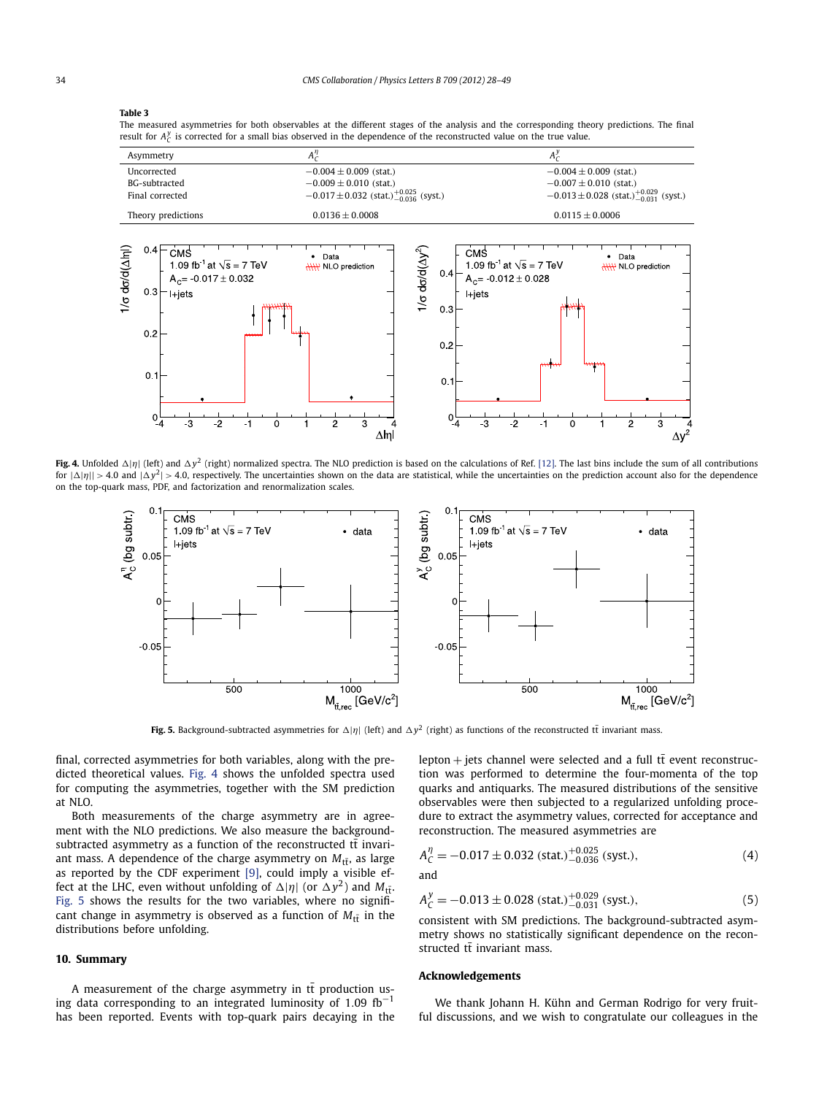#### <span id="page-6-0"></span>**Table 3**

The measured asymmetries for both observables at the different stages of the analysis and the corresponding theory predictions. The final result for  $A^y_C$  is corrected for a small bias observed in the dependence of the reconstructed value on the true value.

| Asymmetry                                       |                                                                                                                     | Aź                                                                                                               |
|-------------------------------------------------|---------------------------------------------------------------------------------------------------------------------|------------------------------------------------------------------------------------------------------------------|
| Uncorrected<br>BG-subtracted<br>Final corrected | $-0.004 \pm 0.009$ (stat.)<br>$-0.009 \pm 0.010$ (stat.)<br>$-0.017 \pm 0.032$ (stat.) $^{+0.025}_{-0.036}$ (syst.) | $-0.004 \pm 0.009$ (stat.)<br>$-0.007 \pm 0.010$ (stat.)<br>$-0.013 \pm 0.028$ (stat.) <sup>+0.029</sup> (syst.) |
| Theory predictions                              | $0.0136 \pm 0.0008$                                                                                                 | $0.0115 \pm 0.0006$                                                                                              |



Fig. 4. Unfolded  $\Delta|\eta|$  (left) and  $\Delta y^2$  (right) normalized spectra. The NLO prediction is based on the calculations of Ref. [\[12\].](#page-7-0) The last bins include the sum of all contributions for  $|\Delta|\eta|| > 4.0$  and  $|\Delta y^2| > 4.0$ , respectively. The uncertainties shown on the data are statistical, while the uncertainties on the prediction account also for the dependence on the top-quark mass, PDF, and factorization and renormalization scales.



**Fig. 5.** Background-subtracted asymmetries for  $\Delta|\eta|$  (left) and  $\Delta y^2$  (right) as functions of the reconstructed tt invariant mass.

final, corrected asymmetries for both variables, along with the predicted theoretical values. Fig. 4 shows the unfolded spectra used for computing the asymmetries, together with the SM prediction at NLO.

Both measurements of the charge asymmetry are in agreement with the NLO predictions. We also measure the backgroundsubtracted asymmetry as a function of the reconstructed  $t\bar{t}$  invariant mass. A dependence of the charge asymmetry on  $M_{\text{tf}}$ , as large as reported by the CDF experiment [\[9\],](#page-7-0) could imply a visible effect at the LHC, even without unfolding of  $\Delta |\eta|$  (or  $\Delta y^2$ ) and  $M_{\text{tf}}$ . Fig. 5 shows the results for the two variables, where no significant change in asymmetry is observed as a function of  $M_{\text{t\bar{t}}}$  in the distributions before unfolding.

#### **10. Summary**

A measurement of the charge asymmetry in  $t\bar{t}$  production using data corresponding to an integrated luminosity of 1*.*09 fb−<sup>1</sup> has been reported. Events with top-quark pairs decaying in the lepton  $+$  jets channel were selected and a full  $t\bar{t}$  event reconstruction was performed to determine the four-momenta of the top quarks and antiquarks. The measured distributions of the sensitive observables were then subjected to a regularized unfolding procedure to extract the asymmetry values, corrected for acceptance and reconstruction. The measured asymmetries are

$$
A_C^{\eta} = -0.017 \pm 0.032 \text{ (stat.)}^{+0.025}_{-0.036} \text{ (syst.)},\tag{4}
$$

and

$$
A_C^y = -0.013 \pm 0.028 \text{ (stat.)}^{+0.029}_{-0.031} \text{ (syst.)},\tag{5}
$$

consistent with SM predictions. The background-subtracted asymmetry shows no statistically significant dependence on the reconstructed tt invariant mass.

#### **Acknowledgements**

We thank Johann H. Kühn and German Rodrigo for very fruitful discussions, and we wish to congratulate our colleagues in the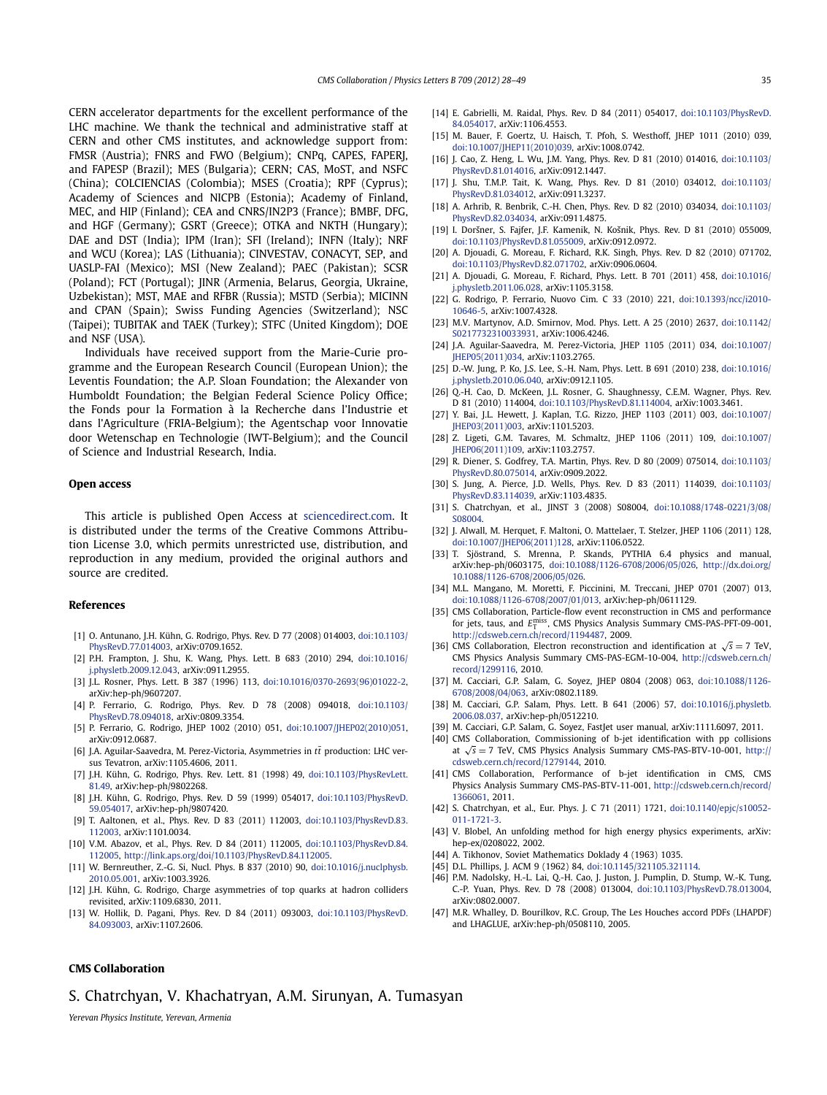<span id="page-7-0"></span>CERN accelerator departments for the excellent performance of the LHC machine. We thank the technical and administrative staff at CERN and other CMS institutes, and acknowledge support from: FMSR (Austria); FNRS and FWO (Belgium); CNPq, CAPES, FAPERJ, and FAPESP (Brazil); MES (Bulgaria); CERN; CAS, MoST, and NSFC (China); COLCIENCIAS (Colombia); MSES (Croatia); RPF (Cyprus); Academy of Sciences and NICPB (Estonia); Academy of Finland, MEC, and HIP (Finland); CEA and CNRS/IN2P3 (France); BMBF, DFG, and HGF (Germany); GSRT (Greece); OTKA and NKTH (Hungary); DAE and DST (India); IPM (Iran); SFI (Ireland); INFN (Italy); NRF and WCU (Korea); LAS (Lithuania); CINVESTAV, CONACYT, SEP, and UASLP-FAI (Mexico); MSI (New Zealand); PAEC (Pakistan); SCSR (Poland); FCT (Portugal); JINR (Armenia, Belarus, Georgia, Ukraine, Uzbekistan); MST, MAE and RFBR (Russia); MSTD (Serbia); MICINN and CPAN (Spain); Swiss Funding Agencies (Switzerland); NSC (Taipei); TUBITAK and TAEK (Turkey); STFC (United Kingdom); DOE and NSF (USA).

Individuals have received support from the Marie-Curie programme and the European Research Council (European Union); the Leventis Foundation; the A.P. Sloan Foundation; the Alexander von Humboldt Foundation; the Belgian Federal Science Policy Office; the Fonds pour la Formation à la Recherche dans l'Industrie et dans l'Agriculture (FRIA-Belgium); the Agentschap voor Innovatie door Wetenschap en Technologie (IWT-Belgium); and the Council of Science and Industrial Research, India.

#### **Open access**

This article is published Open Access at [sciencedirect.com.](http://www.sciencedirect.com) It is distributed under the terms of the Creative Commons Attribution License 3.0, which permits unrestricted use, distribution, and reproduction in any medium, provided the original authors and source are credited.

#### **References**

- [1] O. Antunano, J.H. Kühn, G. Rodrigo, Phys. Rev. D 77 (2008) 014003, [doi:10.1103/](http://dx.doi.org/10.1103/PhysRevD.77.014003) [PhysRevD.77.014003,](http://dx.doi.org/10.1103/PhysRevD.77.014003) arXiv:0709.1652.
- [2] P.H. Frampton, J. Shu, K. Wang, Phys. Lett. B 683 (2010) 294, [doi:10.1016/](http://dx.doi.org/10.1016/j.physletb.2009.12.043) [j.physletb.2009.12.043,](http://dx.doi.org/10.1016/j.physletb.2009.12.043) arXiv:0911.2955.
- [3] J.L. Rosner, Phys. Lett. B 387 (1996) 113, [doi:10.1016/0370-2693\(96\)01022-2](http://dx.doi.org/10.1016/0370-2693(96)01022-2), arXiv:hep-ph/9607207.
- [4] P. Ferrario, G. Rodrigo, Phys. Rev. D 78 (2008) 094018, [doi:10.1103/](http://dx.doi.org/10.1103/PhysRevD.78.094018) [PhysRevD.78.094018](http://dx.doi.org/10.1103/PhysRevD.78.094018), arXiv:0809.3354.
- [5] P. Ferrario, G. Rodrigo, JHEP 1002 (2010) 051, [doi:10.1007/JHEP02\(2010\)051](http://dx.doi.org/10.1007/JHEP02(2010)051), arXiv:0912.0687.
- [6] J.A. Aguilar-Saavedra, M. Perez-Victoria, Asymmetries in *tt*¯ production: LHC versus Tevatron, arXiv:1105.4606, 2011.
- [7] J.H. Kühn, G. Rodrigo, Phys. Rev. Lett. 81 (1998) 49, [doi:10.1103/PhysRevLett.](http://dx.doi.org/10.1103/PhysRevLett.81.49) [81.49](http://dx.doi.org/10.1103/PhysRevLett.81.49), arXiv:hep-ph/9802268.
- [8] J.H. Kühn, G. Rodrigo, Phys. Rev. D 59 (1999) 054017, [doi:10.1103/PhysRevD.](http://dx.doi.org/10.1103/PhysRevD.59.054017) [59.054017](http://dx.doi.org/10.1103/PhysRevD.59.054017), arXiv:hep-ph/9807420.
- [9] T. Aaltonen, et al., Phys. Rev. D 83 (2011) 112003, [doi:10.1103/PhysRevD.83.](http://dx.doi.org/10.1103/PhysRevD.83.112003) [112003,](http://dx.doi.org/10.1103/PhysRevD.83.112003) arXiv:1101.0034.
- [10] V.M. Abazov, et al., Phys. Rev. D 84 (2011) 112005, [doi:10.1103/PhysRevD.84.](http://dx.doi.org/10.1103/PhysRevD.84.112005) [112005,](http://dx.doi.org/10.1103/PhysRevD.84.112005) [http://link.aps.org/doi/10.1103/PhysRevD.84.112005.](http://link.aps.org/doi/10.1103/PhysRevD.84.112005)
- [11] W. Bernreuther, Z.-G. Si, Nucl. Phys. B 837 (2010) 90, [doi:10.1016/j.nuclphysb.](http://dx.doi.org/10.1016/j.nuclphysb.2010.05.001) [2010.05.001,](http://dx.doi.org/10.1016/j.nuclphysb.2010.05.001) arXiv:1003.3926.
- [12] J.H. Kühn, G. Rodrigo, Charge asymmetries of top quarks at hadron colliders revisited, arXiv:1109.6830, 2011.
- [13] W. Hollik, D. Pagani, Phys. Rev. D 84 (2011) 093003, [doi:10.1103/PhysRevD.](http://dx.doi.org/10.1103/PhysRevD.84.093003) [84.093003](http://dx.doi.org/10.1103/PhysRevD.84.093003), arXiv:1107.2606.
- [14] E. Gabrielli, M. Raidal, Phys. Rev. D 84 (2011) 054017, [doi:10.1103/PhysRevD.](http://dx.doi.org/10.1103/PhysRevD.84.054017) [84.054017](http://dx.doi.org/10.1103/PhysRevD.84.054017), arXiv:1106.4553.
- [15] M. Bauer, F. Goertz, U. Haisch, T. Pfoh, S. Westhoff, JHEP 1011 (2010) 039, [doi:10.1007/JHEP11\(2010\)039,](http://dx.doi.org/10.1007/JHEP11(2010)039) arXiv:1008.0742.
- [16] J. Cao, Z. Heng, L. Wu, J.M. Yang, Phys. Rev. D 81 (2010) 014016, [doi:10.1103/](http://dx.doi.org/10.1103/PhysRevD.81.014016) [PhysRevD.81.014016,](http://dx.doi.org/10.1103/PhysRevD.81.014016) arXiv:0912.1447.
- [17] J. Shu, T.M.P. Tait, K. Wang, Phys. Rev. D 81 (2010) 034012, [doi:10.1103/](http://dx.doi.org/10.1103/PhysRevD.81.034012) [PhysRevD.81.034012,](http://dx.doi.org/10.1103/PhysRevD.81.034012) arXiv:0911.3237.
- [18] A. Arhrib, R. Benbrik, C.-H. Chen, Phys. Rev. D 82 (2010) 034034, [doi:10.1103/](http://dx.doi.org/10.1103/PhysRevD.82.034034) [PhysRevD.82.034034](http://dx.doi.org/10.1103/PhysRevD.82.034034), arXiv:0911.4875.
- [19] I. Doršner, S. Fajfer, J.F. Kamenik, N. Košnik, Phys. Rev. D 81 (2010) 055009, [doi:10.1103/PhysRevD.81.055009,](http://dx.doi.org/10.1103/PhysRevD.81.055009) arXiv:0912.0972.
- [20] A. Djouadi, G. Moreau, F. Richard, R.K. Singh, Phys. Rev. D 82 (2010) 071702, [doi:10.1103/PhysRevD.82.071702](http://dx.doi.org/10.1103/PhysRevD.82.071702), arXiv:0906.0604.
- [21] A. Djouadi, G. Moreau, F. Richard, Phys. Lett. B 701 (2011) 458, [doi:10.1016/](http://dx.doi.org/10.1016/j.physletb.2011.06.028) [j.physletb.2011.06.028,](http://dx.doi.org/10.1016/j.physletb.2011.06.028) arXiv:1105.3158.
- [22] G. Rodrigo, P. Ferrario, Nuovo Cim. C 33 (2010) 221, [doi:10.1393/ncc/i2010-](http://dx.doi.org/10.1393/ncc/i2010-10646-5) [10646-5](http://dx.doi.org/10.1393/ncc/i2010-10646-5), arXiv:1007.4328.
- [23] M.V. Martynov, A.D. Smirnov, Mod. Phys. Lett. A 25 (2010) 2637, [doi:10.1142/](http://dx.doi.org/10.1142/S0217732310033931) [S0217732310033931,](http://dx.doi.org/10.1142/S0217732310033931) arXiv:1006.4246.
- [24] J.A. Aguilar-Saavedra, M. Perez-Victoria, JHEP 1105 (2011) 034, [doi:10.1007/](http://dx.doi.org/10.1007/JHEP05(2011)034) [JHEP05\(2011\)034](http://dx.doi.org/10.1007/JHEP05(2011)034), arXiv:1103.2765.
- [25] D.-W. Jung, P. Ko, J.S. Lee, S.-H. Nam, Phys. Lett. B 691 (2010) 238, [doi:10.1016/](http://dx.doi.org/10.1016/j.physletb.2010.06.040) [j.physletb.2010.06.040](http://dx.doi.org/10.1016/j.physletb.2010.06.040), arXiv:0912.1105.
- [26] Q.-H. Cao, D. McKeen, J.L. Rosner, G. Shaughnessy, C.E.M. Wagner, Phys. Rev. D 81 (2010) 114004, [doi:10.1103/PhysRevD.81.114004,](http://dx.doi.org/10.1103/PhysRevD.81.114004) arXiv:1003.3461.
- [27] Y. Bai, J.L. Hewett, J. Kaplan, T.G. Rizzo, JHEP 1103 (2011) 003, [doi:10.1007/](http://dx.doi.org/10.1007/JHEP03(2011)003) [JHEP03\(2011\)003](http://dx.doi.org/10.1007/JHEP03(2011)003), arXiv:1101.5203.
- [28] Z. Ligeti, G.M. Tavares, M. Schmaltz, JHEP 1106 (2011) 109, [doi:10.1007/](http://dx.doi.org/10.1007/JHEP06(2011)109) [JHEP06\(2011\)109](http://dx.doi.org/10.1007/JHEP06(2011)109), arXiv:1103.2757.
- [29] R. Diener, S. Godfrey, T.A. Martin, Phys. Rev. D 80 (2009) 075014, [doi:10.1103/](http://dx.doi.org/10.1103/PhysRevD.80.075014) [PhysRevD.80.075014](http://dx.doi.org/10.1103/PhysRevD.80.075014), arXiv:0909.2022.
- [30] S. Jung, A. Pierce, J.D. Wells, Phys. Rev. D 83 (2011) 114039, [doi:10.1103/](http://dx.doi.org/10.1103/PhysRevD.83.114039) [PhysRevD.83.114039,](http://dx.doi.org/10.1103/PhysRevD.83.114039) arXiv:1103.4835.
- [31] S. Chatrchyan, et al., JINST 3 (2008) S08004, [doi:10.1088/1748-0221/3/08/](http://dx.doi.org/10.1088/1748-0221/3/08/S08004) [S08004](http://dx.doi.org/10.1088/1748-0221/3/08/S08004).
- [32] J. Alwall, M. Herquet, F. Maltoni, O. Mattelaer, T. Stelzer, JHEP 1106 (2011) 128, [doi:10.1007/JHEP06\(2011\)128,](http://dx.doi.org/10.1007/JHEP06(2011)128) arXiv:1106.0522.
- [33] T. Sjöstrand, S. Mrenna, P. Skands, PYTHIA 6.4 physics and manual, arXiv:hep-ph/0603175, [doi:10.1088/1126-6708/2006/05/026,](http://dx.doi.org/10.1088/1126-6708/2006/05/026) [http://dx.doi.org/](http://dx.doi.org/10.1088/1126-6708/2006/05/026) [10.1088/1126-6708/2006/05/026.](http://dx.doi.org/10.1088/1126-6708/2006/05/026)
- [34] M.L. Mangano, M. Moretti, F. Piccinini, M. Treccani, JHEP 0701 (2007) 013, [doi:10.1088/1126-6708/2007/01/013,](http://dx.doi.org/10.1088/1126-6708/2007/01/013) arXiv:hep-ph/0611129.
- [35] CMS Collaboration, Particle-flow event reconstruction in CMS and performance for jets, taus, and  $E_T^{\text{miss}}$ , CMS Physics Analysis Summary CMS-PAS-PFT-09-001, <http://cdsweb.cern.ch/record/1194487>, 2009.
- [36] CMS Collaboration, Electron reconstruction and identification at  $\sqrt{s} = 7$  TeV, CMS Physics Analysis Summary CMS-PAS-EGM-10-004, [http://cdsweb.cern.ch/](http://cdsweb.cern.ch/record/1299116) [record/1299116,](http://cdsweb.cern.ch/record/1299116) 2010.
- [37] M. Cacciari, G.P. Salam, G. Soyez, JHEP 0804 (2008) 063, [doi:10.1088/1126-](http://dx.doi.org/10.1088/1126-6708/2008/04/063) [6708/2008/04/063,](http://dx.doi.org/10.1088/1126-6708/2008/04/063) arXiv:0802.1189.
- [38] M. Cacciari, G.P. Salam, Phys. Lett. B 641 (2006) 57, [doi:10.1016/j.physletb.](http://dx.doi.org/10.1016/j.physletb.2006.08.037) [2006.08.037,](http://dx.doi.org/10.1016/j.physletb.2006.08.037) arXiv:hep-ph/0512210.
- [39] M. Cacciari, G.P. Salam, G. Soyez, FastJet user manual, arXiv:1111.6097, 2011.
- [40] CMS Collaboration, Commissioning of b-jet identification with pp collisions at <sup>√</sup>*<sup>s</sup>* <sup>=</sup> 7 TeV, CMS Physics Analysis Summary CMS-PAS-BTV-10-001, [http://](http://cdsweb.cern.ch/record/1279144) [cdsweb.cern.ch/record/1279144,](http://cdsweb.cern.ch/record/1279144) 2010.
- [41] CMS Collaboration, Performance of b-jet identification in CMS, CMS Physics Analysis Summary CMS-PAS-BTV-11-001, [http://cdsweb.cern.ch/record/](http://cdsweb.cern.ch/record/1366061) [1366061,](http://cdsweb.cern.ch/record/1366061) 2011.
- [42] S. Chatrchyan, et al., Eur. Phys. J. C 71 (2011) 1721, [doi:10.1140/epjc/s10052-](http://dx.doi.org/10.1140/epjc/s10052-011-1721-3) [011-1721-3](http://dx.doi.org/10.1140/epjc/s10052-011-1721-3).
- [43] V. Blobel, An unfolding method for high energy physics experiments, arXiv: hep-ex/0208022, 2002.
- [44] A. Tikhonov, Soviet Mathematics Doklady 4 (1963) 1035.
- [45] D.L. Phillips, J. ACM 9 (1962) 84, [doi:10.1145/321105.321114.](http://dx.doi.org/10.1145/321105.321114)
- [46] P.M. Nadolsky, H.-L. Lai, Q.-H. Cao, J. Juston, J. Pumplin, D. Stump, W.-K. Tung, C.-P. Yuan, Phys. Rev. D 78 (2008) 013004, [doi:10.1103/PhysRevD.78.013004](http://dx.doi.org/10.1103/PhysRevD.78.013004), arXiv:0802.0007.
- [47] M.R. Whalley, D. Bourilkov, R.C. Group, The Les Houches accord PDFs (LHAPDF) and LHAGLUE, arXiv:hep-ph/0508110, 2005.

#### **CMS Collaboration**

S. Chatrchyan, V. Khachatryan, A.M. Sirunyan, A. Tumasyan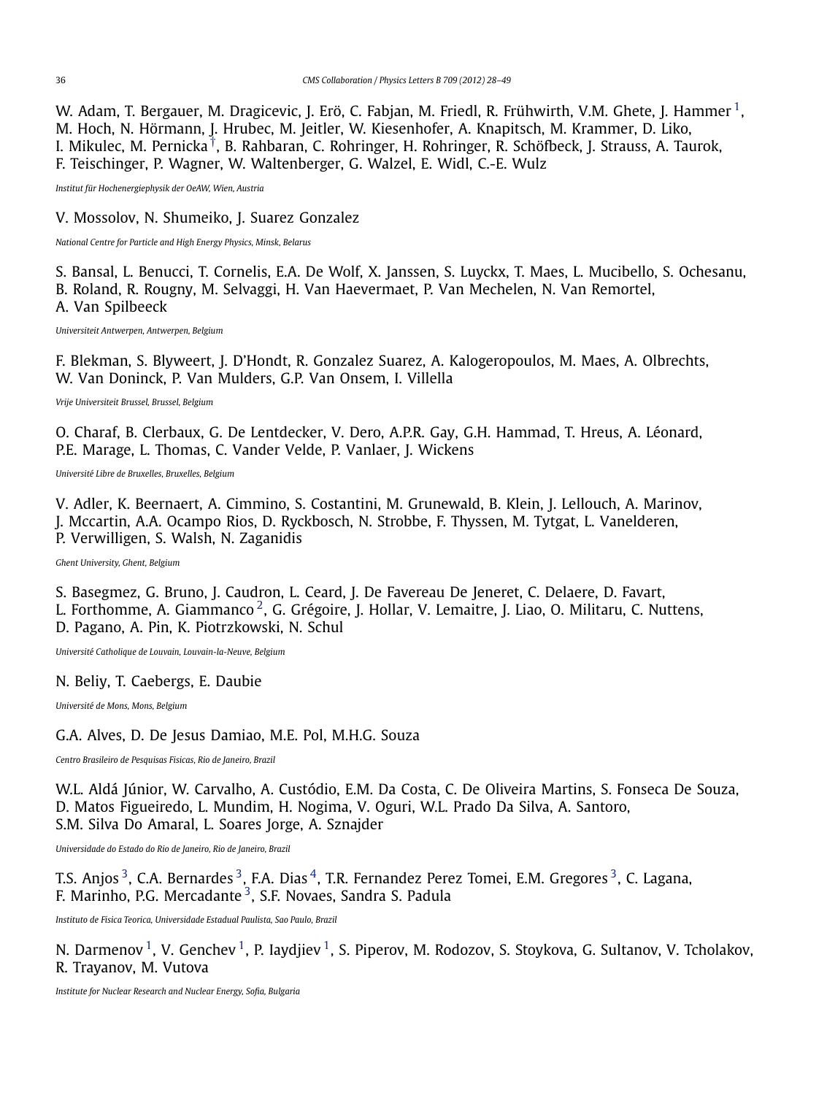W. Adam, T. Bergauer, M. Dragicevic, J. Erö, C. Fabjan, M. Friedl, R. Frühwirth, V.M. Ghete, J. Hammer<sup>1</sup>, M. Hoch, N. Hörmann, J. Hrubec, M. Jeitler, W. Kiesenhofer, A. Knapitsch, M. Krammer, D. Liko, I. Mikulec, M. Pernicka  $^{\dagger}$ , B. Rahbaran, C. Rohringer, H. Rohringer, R. Schöfbeck, I. Strauss, A. Taurok, F. Teischinger, P. Wagner, W. Waltenberger, G. Walzel, E. Widl, C.-E. Wulz

*Institut für Hochenergiephysik der OeAW, Wien, Austria*

V. Mossolov, N. Shumeiko, J. Suarez Gonzalez

*National Centre for Particle and High Energy Physics, Minsk, Belarus*

S. Bansal, L. Benucci, T. Cornelis, E.A. De Wolf, X. Janssen, S. Luyckx, T. Maes, L. Mucibello, S. Ochesanu, B. Roland, R. Rougny, M. Selvaggi, H. Van Haevermaet, P. Van Mechelen, N. Van Remortel, A. Van Spilbeeck

*Universiteit Antwerpen, Antwerpen, Belgium*

F. Blekman, S. Blyweert, J. D'Hondt, R. Gonzalez Suarez, A. Kalogeropoulos, M. Maes, A. Olbrechts, W. Van Doninck, P. Van Mulders, G.P. Van Onsem, I. Villella

*Vrije Universiteit Brussel, Brussel, Belgium*

O. Charaf, B. Clerbaux, G. De Lentdecker, V. Dero, A.P.R. Gay, G.H. Hammad, T. Hreus, A. Léonard, P.E. Marage, L. Thomas, C. Vander Velde, P. Vanlaer, J. Wickens

*Université Libre de Bruxelles, Bruxelles, Belgium*

V. Adler, K. Beernaert, A. Cimmino, S. Costantini, M. Grunewald, B. Klein, J. Lellouch, A. Marinov, J. Mccartin, A.A. Ocampo Rios, D. Ryckbosch, N. Strobbe, F. Thyssen, M. Tytgat, L. Vanelderen, P. Verwilligen, S. Walsh, N. Zaganidis

*Ghent University, Ghent, Belgium*

S. Basegmez, G. Bruno, J. Caudron, L. Ceard, J. De Favereau De Jeneret, C. Delaere, D. Favart, L. Forthomme, A. Giammanco<sup>2</sup>, G. Grégoire, J. Hollar, V. Lemaitre, J. Liao, O. Militaru, C. Nuttens, D. Pagano, A. Pin, K. Piotrzkowski, N. Schul

*Université Catholique de Louvain, Louvain-la-Neuve, Belgium*

N. Beliy, T. Caebergs, E. Daubie

*Université de Mons, Mons, Belgium*

G.A. Alves, D. De Jesus Damiao, M.E. Pol, M.H.G. Souza

*Centro Brasileiro de Pesquisas Fisicas, Rio de Janeiro, Brazil*

W.L. Aldá Júnior, W. Carvalho, A. Custódio, E.M. Da Costa, C. De Oliveira Martins, S. Fonseca De Souza, D. Matos Figueiredo, L. Mundim, H. Nogima, V. Oguri, W.L. Prado Da Silva, A. Santoro, S.M. Silva Do Amaral, L. Soares Jorge, A. Sznajder

*Universidade do Estado do Rio de Janeiro, Rio de Janeiro, Brazil*

T.S. Anjos<sup>3</sup>, C.A. Bernardes<sup>3</sup>, F.A. Dias<sup>4</sup>, T.R. Fernandez Perez Tomei, E.M. Gregores<sup>3</sup>, C. Lagana, F. Marinho, P.G. Mercadante [3,](#page-21-0) S.F. Novaes, Sandra S. Padula

*Instituto de Fisica Teorica, Universidade Estadual Paulista, Sao Paulo, Brazil*

N. Darmenov <sup>1</sup>, V. Genchev <sup>1</sup>, P. Iaydjiev <sup>1</sup>, S. Piperov, M. Rodozov, S. Stoykova, G. Sultanov, V. Tcholakov, R. Trayanov, M. Vutova

*Institute for Nuclear Research and Nuclear Energy, Sofia, Bulgaria*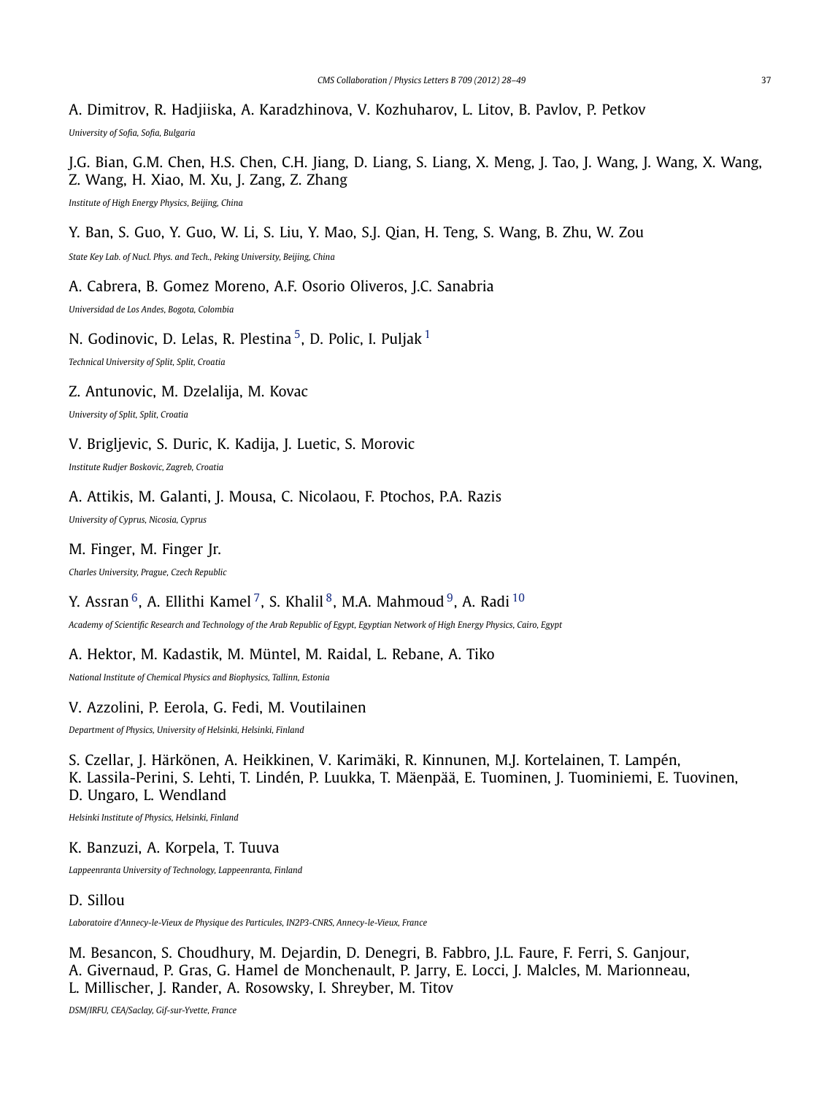# A. Dimitrov, R. Hadjiiska, A. Karadzhinova, V. Kozhuharov, L. Litov, B. Pavlov, P. Petkov

*University of Sofia, Sofia, Bulgaria*

J.G. Bian, G.M. Chen, H.S. Chen, C.H. Jiang, D. Liang, S. Liang, X. Meng, J. Tao, J. Wang, J. Wang, X. Wang, Z. Wang, H. Xiao, M. Xu, J. Zang, Z. Zhang

*Institute of High Energy Physics, Beijing, China*

## Y. Ban, S. Guo, Y. Guo, W. Li, S. Liu, Y. Mao, S.J. Qian, H. Teng, S. Wang, B. Zhu, W. Zou

*State Key Lab. of Nucl. Phys. and Tech., Peking University, Beijing, China*

## A. Cabrera, B. Gomez Moreno, A.F. Osorio Oliveros, J.C. Sanabria

*Universidad de Los Andes, Bogota, Colombia*

# N. Godinovic, D. Lelas, R. Plestina<sup>5</sup>, D. Polic, I. Puljak<sup>[1](#page-21-0)</sup>

*Technical University of Split, Split, Croatia*

#### Z. Antunovic, M. Dzelalija, M. Kovac

*University of Split, Split, Croatia*

## V. Brigljevic, S. Duric, K. Kadija, J. Luetic, S. Morovic

*Institute Rudjer Boskovic, Zagreb, Croatia*

## A. Attikis, M. Galanti, J. Mousa, C. Nicolaou, F. Ptochos, P.A. Razis

*University of Cyprus, Nicosia, Cyprus*

## M. Finger, M. Finger Jr.

*Charles University, Prague, Czech Republic*

# Y. Assran  $^6$ , A. Ellithi Kamel  $^7$ , S. Khalil  $^8$ , M.A. Mahmoud  $^9$ , A. Radi  $^{10}$  $^{10}$  $^{10}$

*Academy of Scientific Research and Technology of the Arab Republic of Egypt, Egyptian Network of High Energy Physics, Cairo, Egypt*

## A. Hektor, M. Kadastik, M. Müntel, M. Raidal, L. Rebane, A. Tiko

*National Institute of Chemical Physics and Biophysics, Tallinn, Estonia*

#### V. Azzolini, P. Eerola, G. Fedi, M. Voutilainen

*Department of Physics, University of Helsinki, Helsinki, Finland*

S. Czellar, J. Härkönen, A. Heikkinen, V. Karimäki, R. Kinnunen, M.J. Kortelainen, T. Lampén, K. Lassila-Perini, S. Lehti, T. Lindén, P. Luukka, T. Mäenpää, E. Tuominen, J. Tuominiemi, E. Tuovinen, D. Ungaro, L. Wendland

*Helsinki Institute of Physics, Helsinki, Finland*

## K. Banzuzi, A. Korpela, T. Tuuva

*Lappeenranta University of Technology, Lappeenranta, Finland*

#### D. Sillou

*Laboratoire d'Annecy-le-Vieux de Physique des Particules, IN2P3-CNRS, Annecy-le-Vieux, France*

M. Besancon, S. Choudhury, M. Dejardin, D. Denegri, B. Fabbro, J.L. Faure, F. Ferri, S. Ganjour, A. Givernaud, P. Gras, G. Hamel de Monchenault, P. Jarry, E. Locci, J. Malcles, M. Marionneau, L. Millischer, J. Rander, A. Rosowsky, I. Shreyber, M. Titov

*DSM/IRFU, CEA/Saclay, Gif-sur-Yvette, France*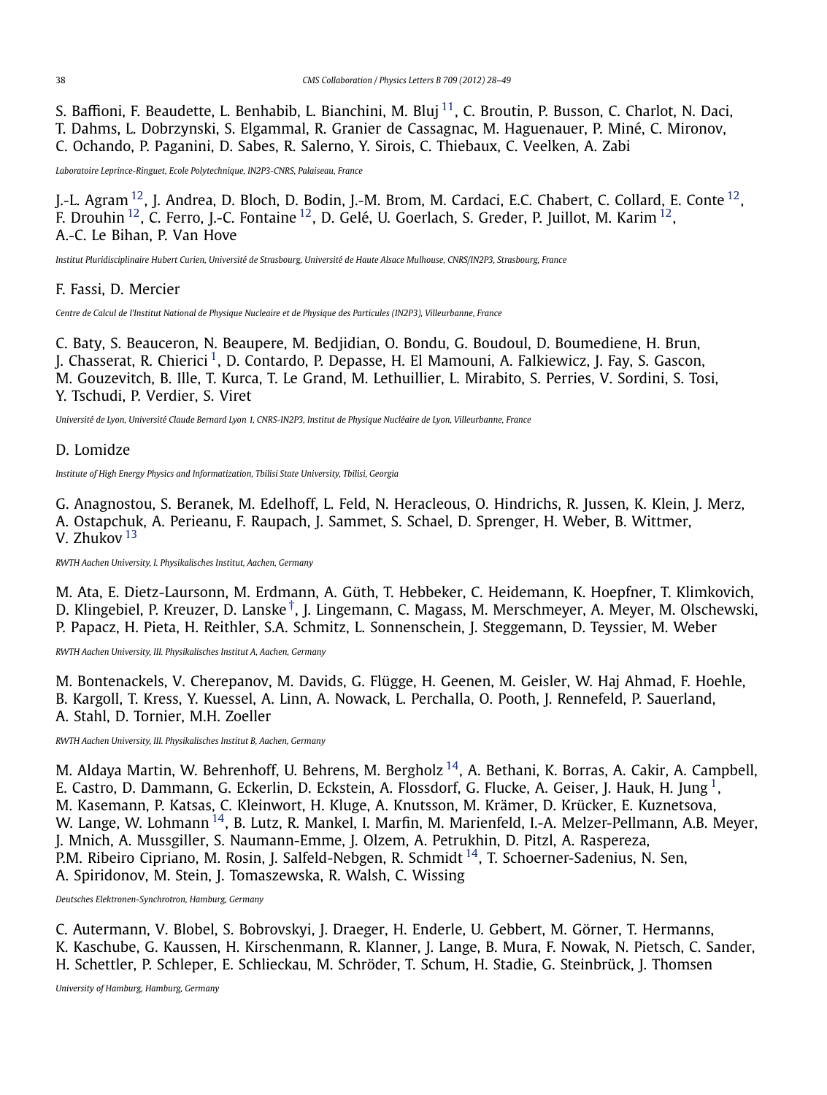S. Baffioni, F. Beaudette, L. Benhabib, L. Bianchini, M. Bluj <sup>11</sup>, C. Broutin, P. Busson, C. Charlot, N. Daci, T. Dahms, L. Dobrzynski, S. Elgammal, R. Granier de Cassagnac, M. Haguenauer, P. Miné, C. Mironov, C. Ochando, P. Paganini, D. Sabes, R. Salerno, Y. Sirois, C. Thiebaux, C. Veelken, A. Zabi

*Laboratoire Leprince-Ringuet, Ecole Polytechnique, IN2P3-CNRS, Palaiseau, France*

J.-L. Agram <sup>12</sup>, J. Andrea, D. Bloch, D. Bodin, J.-M. Brom, M. Cardaci, E.C. Chabert, C. Collard, E. Conte <sup>12</sup>, F. Drouhin [12,](#page-21-0) C. Ferro, J.-C. Fontaine [12,](#page-21-0) D. Gelé, U. Goerlach, S. Greder, P. Juillot, M. Karim [12,](#page-21-0) A.-C. Le Bihan, P. Van Hove

*Institut Pluridisciplinaire Hubert Curien, Université de Strasbourg, Université de Haute Alsace Mulhouse, CNRS/IN2P3, Strasbourg, France*

#### F. Fassi, D. Mercier

*Centre de Calcul de l'Institut National de Physique Nucleaire et de Physique des Particules (IN2P3), Villeurbanne, France*

C. Baty, S. Beauceron, N. Beaupere, M. Bedjidian, O. Bondu, G. Boudoul, D. Boumediene, H. Brun, J. Chasserat, R. Chierici<sup>1</sup>, D. Contardo, P. Depasse, H. El Mamouni, A. Falkiewicz, J. Fay, S. Gascon, M. Gouzevitch, B. Ille, T. Kurca, T. Le Grand, M. Lethuillier, L. Mirabito, S. Perries, V. Sordini, S. Tosi, Y. Tschudi, P. Verdier, S. Viret

*Université de Lyon, Université Claude Bernard Lyon 1, CNRS-IN2P3, Institut de Physique Nucléaire de Lyon, Villeurbanne, France*

#### D. Lomidze

*Institute of High Energy Physics and Informatization, Tbilisi State University, Tbilisi, Georgia*

G. Anagnostou, S. Beranek, M. Edelhoff, L. Feld, N. Heracleous, O. Hindrichs, R. Jussen, K. Klein, J. Merz, A. Ostapchuk, A. Perieanu, F. Raupach, J. Sammet, S. Schael, D. Sprenger, H. Weber, B. Wittmer, V. Zhukov [13](#page-21-0)

*RWTH Aachen University, I. Physikalisches Institut, Aachen, Germany*

M. Ata, E. Dietz-Laursonn, M. Erdmann, A. Güth, T. Hebbeker, C. Heidemann, K. Hoepfner, T. Klimkovich, D. Klingebiel, P. Kreuzer, D. Lanske [†,](#page-21-0) J. Lingemann, C. Magass, M. Merschmeyer, A. Meyer, M. Olschewski, P. Papacz, H. Pieta, H. Reithler, S.A. Schmitz, L. Sonnenschein, J. Steggemann, D. Teyssier, M. Weber

*RWTH Aachen University, III. Physikalisches Institut A, Aachen, Germany*

M. Bontenackels, V. Cherepanov, M. Davids, G. Flügge, H. Geenen, M. Geisler, W. Haj Ahmad, F. Hoehle, B. Kargoll, T. Kress, Y. Kuessel, A. Linn, A. Nowack, L. Perchalla, O. Pooth, J. Rennefeld, P. Sauerland, A. Stahl, D. Tornier, M.H. Zoeller

*RWTH Aachen University, III. Physikalisches Institut B, Aachen, Germany*

M. Aldaya Martin, W. Behrenhoff, U. Behrens, M. Bergholz<sup>14</sup>, A. Bethani, K. Borras, A. Cakir, A. Campbell, E. Castro, D. Dammann, G. Eckerlin, D. Eckstein, A. Flossdorf, G. Flucke, A. Geiser, J. Hauk, H. Jung  $1$ , M. Kasemann, P. Katsas, C. Kleinwort, H. Kluge, A. Knutsson, M. Krämer, D. Krücker, E. Kuznetsova, W. Lange, W. Lohmann<sup>14</sup>, B. Lutz, R. Mankel, I. Marfin, M. Marienfeld, I.-A. Melzer-Pellmann, A.B. Meyer, J. Mnich, A. Mussgiller, S. Naumann-Emme, J. Olzem, A. Petrukhin, D. Pitzl, A. Raspereza, P.M. Ribeiro Cipriano, M. Rosin, J. Salfeld-Nebgen, R. Schmidt<sup>14</sup>, T. Schoerner-Sadenius, N. Sen, A. Spiridonov, M. Stein, J. Tomaszewska, R. Walsh, C. Wissing

*Deutsches Elektronen-Synchrotron, Hamburg, Germany*

C. Autermann, V. Blobel, S. Bobrovskyi, J. Draeger, H. Enderle, U. Gebbert, M. Görner, T. Hermanns, K. Kaschube, G. Kaussen, H. Kirschenmann, R. Klanner, J. Lange, B. Mura, F. Nowak, N. Pietsch, C. Sander, H. Schettler, P. Schleper, E. Schlieckau, M. Schröder, T. Schum, H. Stadie, G. Steinbrück, J. Thomsen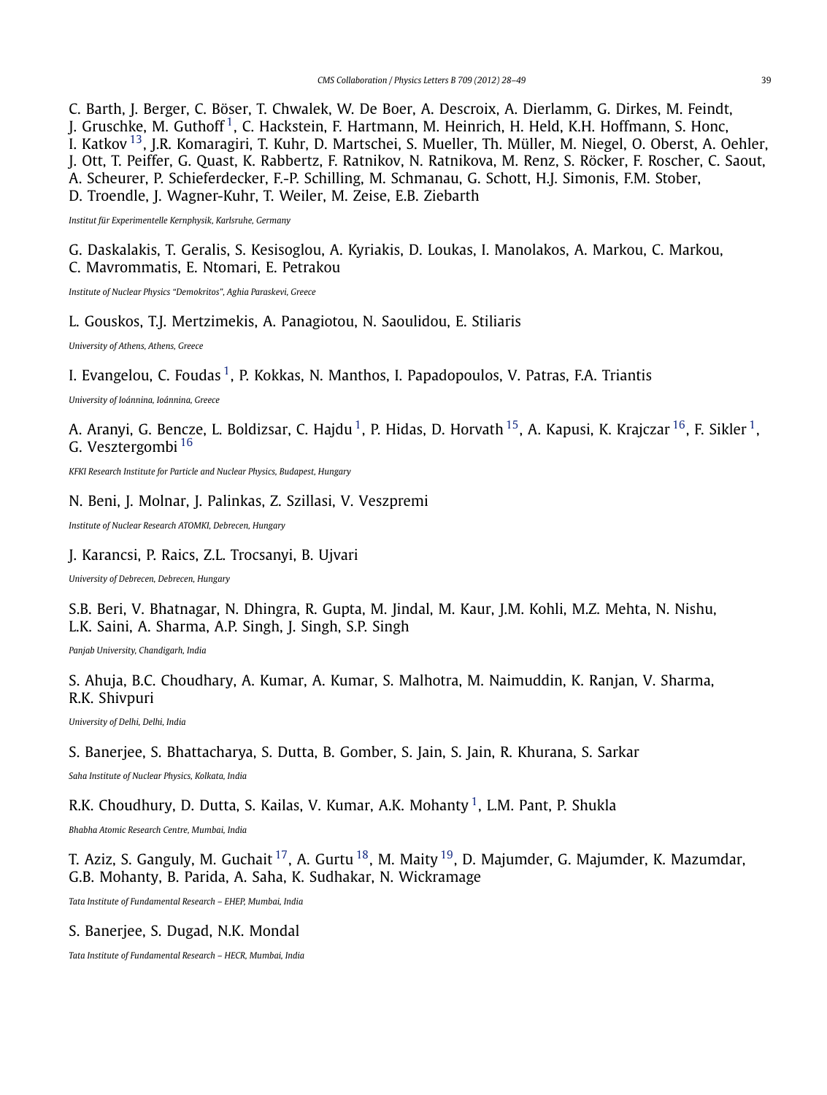C. Barth, J. Berger, C. Böser, T. Chwalek, W. De Boer, A. Descroix, A. Dierlamm, G. Dirkes, M. Feindt, J. Gruschke, M. Guthoff<sup>1</sup>, C. Hackstein, F. Hartmann, M. Heinrich, H. Held, K.H. Hoffmann, S. Honc, I. Katkov [13,](#page-21-0) J.R. Komaragiri, T. Kuhr, D. Martschei, S. Mueller, Th. Müller, M. Niegel, O. Oberst, A. Oehler, J. Ott, T. Peiffer, G. Quast, K. Rabbertz, F. Ratnikov, N. Ratnikova, M. Renz, S. Röcker, F. Roscher, C. Saout, A. Scheurer, P. Schieferdecker, F.-P. Schilling, M. Schmanau, G. Schott, H.J. Simonis, F.M. Stober, D. Troendle, J. Wagner-Kuhr, T. Weiler, M. Zeise, E.B. Ziebarth

*Institut für Experimentelle Kernphysik, Karlsruhe, Germany*

G. Daskalakis, T. Geralis, S. Kesisoglou, A. Kyriakis, D. Loukas, I. Manolakos, A. Markou, C. Markou, C. Mavrommatis, E. Ntomari, E. Petrakou

*Institute of Nuclear Physics "Demokritos", Aghia Paraskevi, Greece*

L. Gouskos, T.J. Mertzimekis, A. Panagiotou, N. Saoulidou, E. Stiliaris

*University of Athens, Athens, Greece*

I. Evangelou, C. Foudas<sup>1</sup>, P. Kokkas, N. Manthos, I. Papadopoulos, V. Patras, F.A. Triantis

*University of Ioánnina, Ioánnina, Greece*

A. Aranyi, G. Bencze, L. Boldizsar, C. Hajdu <sup>1</sup>, P. Hidas, D. Horvath <sup>[15](#page-21-0)</sup>, A. Kapusi, K. Krajczar <sup>16</sup>, F. Sikler <sup>1</sup>. G. Vesztergombi [16](#page-21-0)

*KFKI Research Institute for Particle and Nuclear Physics, Budapest, Hungary*

## N. Beni, J. Molnar, J. Palinkas, Z. Szillasi, V. Veszpremi

*Institute of Nuclear Research ATOMKI, Debrecen, Hungary*

## J. Karancsi, P. Raics, Z.L. Trocsanyi, B. Ujvari

*University of Debrecen, Debrecen, Hungary*

S.B. Beri, V. Bhatnagar, N. Dhingra, R. Gupta, M. Jindal, M. Kaur, J.M. Kohli, M.Z. Mehta, N. Nishu, L.K. Saini, A. Sharma, A.P. Singh, J. Singh, S.P. Singh

*Panjab University, Chandigarh, India*

# S. Ahuja, B.C. Choudhary, A. Kumar, A. Kumar, S. Malhotra, M. Naimuddin, K. Ranjan, V. Sharma, R.K. Shivpuri

*University of Delhi, Delhi, India*

### S. Banerjee, S. Bhattacharya, S. Dutta, B. Gomber, S. Jain, S. Jain, R. Khurana, S. Sarkar

*Saha Institute of Nuclear Physics, Kolkata, India*

# R.K. Choudhury, D. Dutta, S. Kailas, V. Kumar, A.K. Mohanty<sup>1</sup>, L.M. Pant, P. Shukla

*Bhabha Atomic Research Centre, Mumbai, India*

T. Aziz, S. Ganguly, M. Guchait<sup>[17](#page-21-0)</sup>, A. Gurtu<sup>[18](#page-21-0)</sup>, M. Maity<sup>19</sup>, D. Majumder, G. Majumder, K. Mazumdar, G.B. Mohanty, B. Parida, A. Saha, K. Sudhakar, N. Wickramage

*Tata Institute of Fundamental Research – EHEP, Mumbai, India*

#### S. Banerjee, S. Dugad, N.K. Mondal

*Tata Institute of Fundamental Research – HECR, Mumbai, India*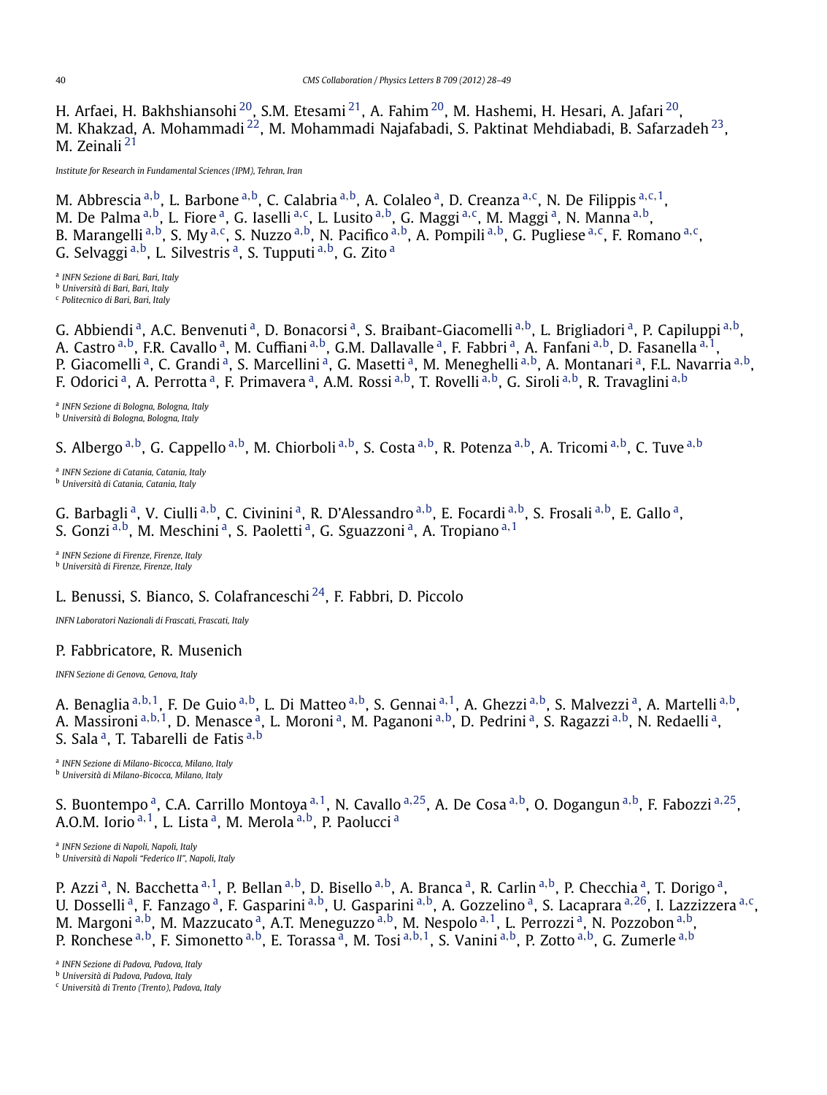H. Arfaei, H. Bakhshiansohi<sup>20</sup>, S.M. Etesami<sup>21</sup>, A. Fahim<sup>20</sup>, M. Hashemi, H. Hesari, A. Jafari<sup>20</sup>, M. Khakzad, A. Mohammadi [22,](#page-21-0) M. Mohammadi Najafabadi, S. Paktinat Mehdiabadi, B. Safarzadeh [23,](#page-21-0) M. Zeinali<sup>[21](#page-21-0)</sup>

*Institute for Research in Fundamental Sciences (IPM), Tehran, Iran*

M. Abbrescia <sup>a</sup>*,*b, L. Barbone <sup>a</sup>*,*b, C. Calabria <sup>a</sup>*,*b, A. Colaleo a, D. Creanza <sup>a</sup>*,*c, N. De Filippis <sup>a</sup>*,*c*,*[1,](#page-21-0) M. De Palma <sup>a</sup>*,*b, L. Fiore a, G. Iaselli <sup>a</sup>*,*c, L. Lusito <sup>a</sup>*,*b, G. Maggi <sup>a</sup>*,*c, M. Maggi a, N. Manna <sup>a</sup>*,*b, B. Marangelli <sup>a</sup>*,*b, S. My <sup>a</sup>*,*c, S. Nuzzo <sup>a</sup>*,*b, N. Pacifico <sup>a</sup>*,*b, A. Pompili <sup>a</sup>*,*b, G. Pugliese <sup>a</sup>*,*c, F. Romano <sup>a</sup>*,*c, G. Selvaggi <sup>a</sup>*,*b, L. Silvestris a, S. Tupputi <sup>a</sup>*,*b, G. Zito <sup>a</sup>

<sup>a</sup> *INFN Sezione di Bari, Bari, Italy*

<sup>b</sup> *Università di Bari, Bari, Italy*

<sup>c</sup> *Politecnico di Bari, Bari, Italy*

G. Abbiendi<sup>a</sup>, A.C. Benvenuti<sup>a</sup>, D. Bonacorsi<sup>a</sup>, S. Braibant-Giacomelli<sup>a,b</sup>, L. Brigliadori<sup>a</sup>, P. Capiluppi<sup>a,b</sup>, A. Castro <sup>a</sup>*,*b, F.R. Cavallo a, M. Cuffiani <sup>a</sup>*,*b, G.M. Dallavalle a, F. Fabbri a, A. Fanfani <sup>a</sup>*,*b, D. Fasanella <sup>a</sup>*,*[1,](#page-21-0) P. Giacomelli <sup>a</sup>, C. Grandi <sup>a</sup>, S. Marcellini <sup>a</sup>, G. Masetti <sup>a</sup>, M. Meneghelli <sup>a,b</sup>, A. Montanari <sup>a</sup>, F.L. Navarria <sup>a,b</sup>, F. Odorici a, A. Perrotta a, F. Primavera a, A.M. Rossi <sup>a</sup>*,*b, T. Rovelli <sup>a</sup>*,*b, G. Siroli <sup>a</sup>*,*b, R. Travaglini <sup>a</sup>*,*<sup>b</sup>

<sup>a</sup> *INFN Sezione di Bologna, Bologna, Italy*

<sup>b</sup> *Università di Bologna, Bologna, Italy*

S. Albergo <sup>a</sup>*,*b, G. Cappello <sup>a</sup>*,*b, M. Chiorboli <sup>a</sup>*,*b, S. Costa <sup>a</sup>*,*b, R. Potenza <sup>a</sup>*,*b, A. Tricomi <sup>a</sup>*,*b, C. Tuve <sup>a</sup>*,*<sup>b</sup>

<sup>a</sup> *INFN Sezione di Catania, Catania, Italy* <sup>b</sup> *Università di Catania, Catania, Italy*

G. Barbagli a, V. Ciulli <sup>a</sup>*,*b, C. Civinini a, R. D'Alessandro <sup>a</sup>*,*b, E. Focardi <sup>a</sup>*,*b, S. Frosali <sup>a</sup>*,*b, E. Gallo a, S. Gonzi <sup>a</sup>*,*b, M. Meschini a, S. Paoletti a, G. Sguazzoni a, A. Tropiano <sup>a</sup>*,*[1](#page-21-0)

<sup>a</sup> *INFN Sezione di Firenze, Firenze, Italy* <sup>b</sup> *Università di Firenze, Firenze, Italy*

# L. Benussi, S. Bianco, S. Colafranceschi [24,](#page-21-0) F. Fabbri, D. Piccolo

*INFN Laboratori Nazionali di Frascati, Frascati, Italy*

## P. Fabbricatore, R. Musenich

*INFN Sezione di Genova, Genova, Italy*

A. Benaglia <sup>a</sup>*,*b*,*[1,](#page-21-0) F. De Guio <sup>a</sup>*,*b, L. Di Matteo <sup>a</sup>*,*b, S. Gennai <sup>a</sup>*,*[1,](#page-21-0) A. Ghezzi <sup>a</sup>*,*b, S. Malvezzi a, A. Martelli <sup>a</sup>*,*b, A. Massironi <sup>a</sup>*,*b*,*[1,](#page-21-0) D. Menasce a, L. Moroni a, M. Paganoni <sup>a</sup>*,*b, D. Pedrini a, S. Ragazzi <sup>a</sup>*,*b, N. Redaelli a, S. Sala a, T. Tabarelli de Fatis <sup>a</sup>*,*<sup>b</sup>

<sup>a</sup> *INFN Sezione di Milano-Bicocca, Milano, Italy* <sup>b</sup> *Università di Milano-Bicocca, Milano, Italy*

S. Buontempo a, C.A. Carrillo Montoya <sup>a</sup>*,*[1,](#page-21-0) N. Cavallo <sup>a</sup>*,*[25,](#page-21-0) A. De Cosa <sup>a</sup>*,*b, O. Dogangun <sup>a</sup>*,*b, F. Fabozzi <sup>a</sup>*,*[25,](#page-21-0) A.O.M. Iorio <sup>a</sup>*,*[1,](#page-21-0) L. Lista a, M. Merola <sup>a</sup>*,*b, P. Paolucci <sup>a</sup>

<sup>a</sup> *INFN Sezione di Napoli, Napoli, Italy*

<sup>b</sup> *Università di Napoli "Federico II", Napoli, Italy*

P. Azzi<sup>a</sup>, N. Bacchetta <sup>a, 1</sup>, P. Bellan <sup>a, b</sup>, D. Bisello <sup>a, b</sup>, A. Branca <sup>a</sup>, R. Carlin <sup>a, b</sup>, P. Checchia <sup>a</sup>, T. Dorigo <sup>a</sup>, U. Dosselli<sup>a</sup>, F. Fanzago<sup>a</sup>, F. Gasparini<sup>a,b</sup>, U. Gasparini<sup>a,b</sup>, A. Gozzelino<sup>a</sup>, S. Lacaprara<sup>a,26</sup>, I. Lazzizzera<sup>a,c</sup>, M. Margoni <sup>a</sup>*,*b, M. Mazzucato a, A.T. Meneguzzo <sup>a</sup>*,*b, M. Nespolo <sup>a</sup>*,*[1,](#page-21-0) L. Perrozzi a, N. Pozzobon <sup>a</sup>*,*b, P. Ronchese <sup>a</sup>*,*b, F. Simonetto <sup>a</sup>*,*b, E. Torassa a, M. Tosi <sup>a</sup>*,*b*,*[1](#page-21-0), S. Vanini <sup>a</sup>*,*b, P. Zotto <sup>a</sup>*,*b, G. Zumerle <sup>a</sup>*,*<sup>b</sup>

<sup>a</sup> *INFN Sezione di Padova, Padova, Italy*

<sup>b</sup> *Università di Padova, Padova, Italy*

<sup>c</sup> *Università di Trento (Trento), Padova, Italy*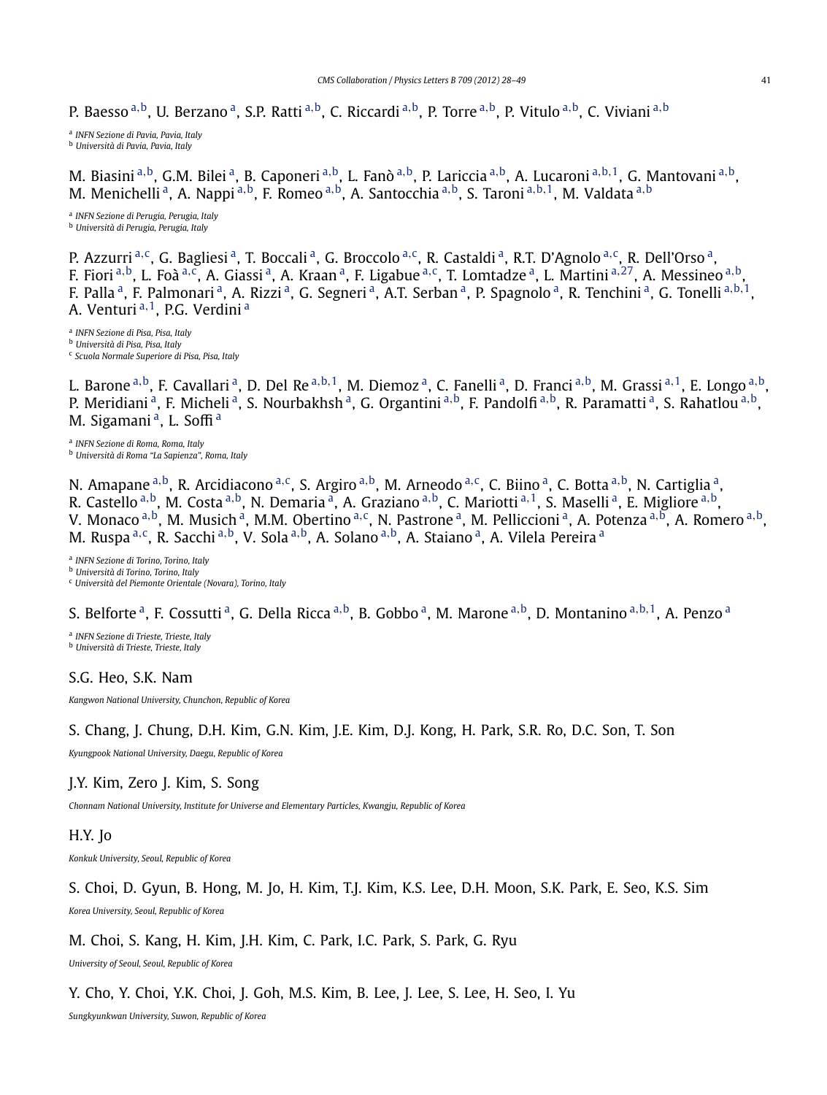# P. Baesso <sup>a</sup>*,*b, U. Berzano a, S.P. Ratti <sup>a</sup>*,*b, C. Riccardi <sup>a</sup>*,*b, P. Torre <sup>a</sup>*,*b, P. Vitulo <sup>a</sup>*,*b, C. Viviani <sup>a</sup>*,*<sup>b</sup>

<sup>a</sup> *INFN Sezione di Pavia, Pavia, Italy* <sup>b</sup> *Università di Pavia, Pavia, Italy*

M. Biasini <sup>a</sup>*,*b, G.M. Bilei a, B. Caponeri <sup>a</sup>*,*b, L. Fanò <sup>a</sup>*,*b, P. Lariccia <sup>a</sup>*,*b, A. Lucaroni <sup>a</sup>*,*b*,*[1,](#page-21-0) G. Mantovani <sup>a</sup>*,*b, M. Menichelli a, A. Nappi <sup>a</sup>*,*b, F. Romeo <sup>a</sup>*,*b, A. Santocchia <sup>a</sup>*,*b, S. Taroni <sup>a</sup>*,*b*,*[1,](#page-21-0) M. Valdata <sup>a</sup>*,*<sup>b</sup>

<sup>a</sup> *INFN Sezione di Perugia, Perugia, Italy*

<sup>b</sup> *Università di Perugia, Perugia, Italy*

P. Azzurri <sup>a, c</sup>, G. Bagliesi <sup>a</sup>, T. Boccali <sup>a</sup>, G. Broccolo <sup>a, c</sup>, R. Castaldi <sup>a</sup>, R.T. D'Agnolo <sup>a, c</sup>, R. Dell'Orso <sup>a</sup>, F. Fiori <sup>a</sup>*,*b, L. Foà <sup>a</sup>*,*c, A. Giassi a, A. Kraan a, F. Ligabue <sup>a</sup>*,*c, T. Lomtadze a, L. Martini <sup>a</sup>*,*[27](#page-21-0), A. Messineo <sup>a</sup>*,*b, F. Palla a, F. Palmonari a, A. Rizzi a, G. Segneri a, A.T. Serban a, P. Spagnolo a, R. Tenchini a, G. Tonelli <sup>a</sup>*,*b*,*[1,](#page-21-0) A. Venturi <sup>a</sup>*,*[1](#page-21-0), P.G. Verdini <sup>a</sup>

<sup>a</sup> *INFN Sezione di Pisa, Pisa, Italy* <sup>b</sup> *Università di Pisa, Pisa, Italy* <sup>c</sup> *Scuola Normale Superiore di Pisa, Pisa, Italy*

L. Barone <sup>a</sup>*,*b, F. Cavallari a, D. Del Re <sup>a</sup>*,*b*,*[1](#page-21-0), M. Diemoz a, C. Fanelli a, D. Franci <sup>a</sup>*,*b, M. Grassi <sup>a</sup>*,*[1,](#page-21-0) E. Longo <sup>a</sup>*,*b, P. Meridiani a, F. Micheli a, S. Nourbakhsh a, G. Organtini <sup>a</sup>*,*b, F. Pandolfi <sup>a</sup>*,*b, R. Paramatti a, S. Rahatlou <sup>a</sup>*,*b, M. Sigamani<sup>a</sup>, L. Soffi<sup>a</sup>

<sup>a</sup> *INFN Sezione di Roma, Roma, Italy* <sup>b</sup> *Università di Roma "La Sapienza", Roma, Italy*

N. Amapane <sup>a</sup>*,*b, R. Arcidiacono <sup>a</sup>*,*c, S. Argiro <sup>a</sup>*,*b, M. Arneodo <sup>a</sup>*,*c, C. Biino a, C. Botta <sup>a</sup>*,*b, N. Cartiglia a, R. Castello <sup>a</sup>*,*b, M. Costa <sup>a</sup>*,*b, N. Demaria a, A. Graziano <sup>a</sup>*,*b, C. Mariotti <sup>a</sup>*,*[1,](#page-21-0) S. Maselli a, E. Migliore <sup>a</sup>*,*b, V. Monaco <sup>a</sup>*,*b, M. Musich a, M.M. Obertino <sup>a</sup>*,*c, N. Pastrone a, M. Pelliccioni a, A. Potenza <sup>a</sup>*,*b, A. Romero <sup>a</sup>*,*b, M. Ruspa <sup>a</sup>*,*c, R. Sacchi <sup>a</sup>*,*b, V. Sola <sup>a</sup>*,*b, A. Solano <sup>a</sup>*,*b, A. Staiano a, A. Vilela Pereira <sup>a</sup>

<sup>a</sup> *INFN Sezione di Torino, Torino, Italy* <sup>b</sup> *Università di Torino, Torino, Italy*

<sup>c</sup> *Università del Piemonte Orientale (Novara), Torino, Italy*

S. Belforte a, F. Cossutti a, G. Della Ricca <sup>a</sup>*,*b, B. Gobbo a, M. Marone <sup>a</sup>*,*b, D. Montanino <sup>a</sup>*,*b*,*[1,](#page-21-0) A. Penzo <sup>a</sup>

<sup>a</sup> *INFN Sezione di Trieste, Trieste, Italy*

<sup>b</sup> *Università di Trieste, Trieste, Italy*

## S.G. Heo, S.K. Nam

*Kangwon National University, Chunchon, Republic of Korea*

## S. Chang, J. Chung, D.H. Kim, G.N. Kim, J.E. Kim, D.J. Kong, H. Park, S.R. Ro, D.C. Son, T. Son

*Kyungpook National University, Daegu, Republic of Korea*

# J.Y. Kim, Zero J. Kim, S. Song

*Chonnam National University, Institute for Universe and Elementary Particles, Kwangju, Republic of Korea*

## H.Y. Jo

*Konkuk University, Seoul, Republic of Korea*

S. Choi, D. Gyun, B. Hong, M. Jo, H. Kim, T.J. Kim, K.S. Lee, D.H. Moon, S.K. Park, E. Seo, K.S. Sim *Korea University, Seoul, Republic of Korea*

M. Choi, S. Kang, H. Kim, J.H. Kim, C. Park, I.C. Park, S. Park, G. Ryu

*University of Seoul, Seoul, Republic of Korea*

# Y. Cho, Y. Choi, Y.K. Choi, J. Goh, M.S. Kim, B. Lee, J. Lee, S. Lee, H. Seo, I. Yu

*Sungkyunkwan University, Suwon, Republic of Korea*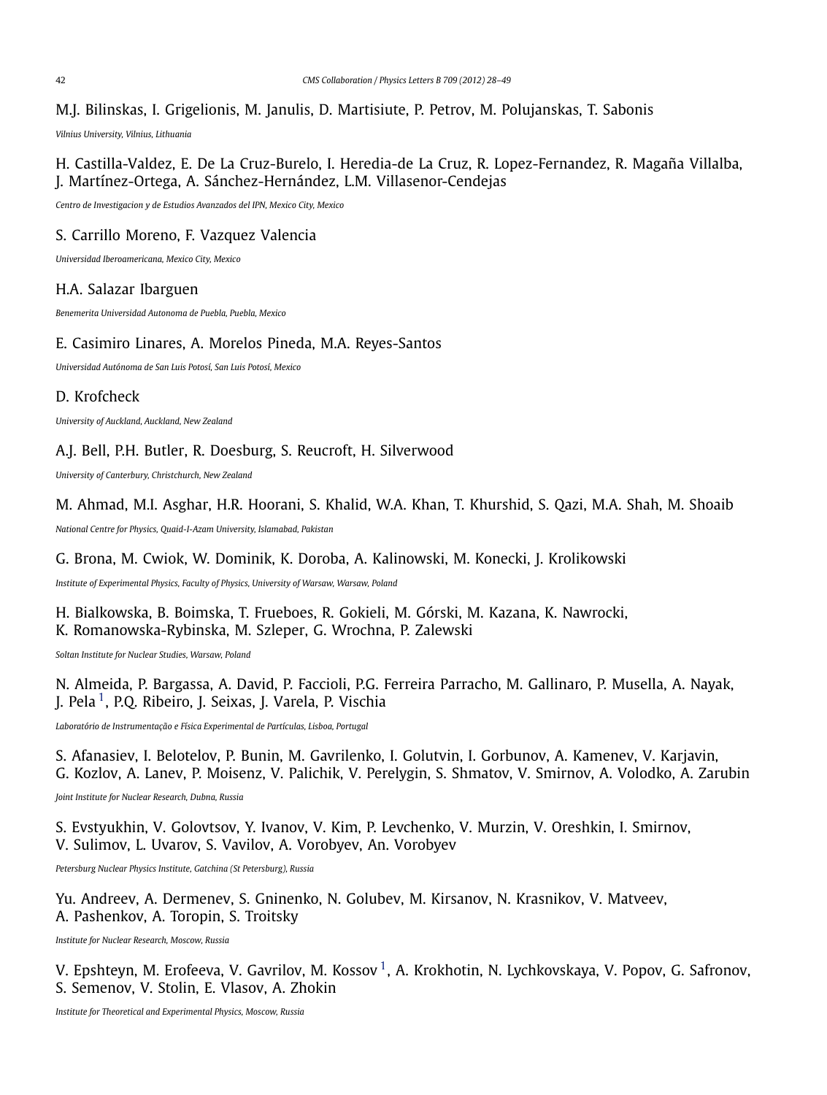#### M.J. Bilinskas, I. Grigelionis, M. Janulis, D. Martisiute, P. Petrov, M. Polujanskas, T. Sabonis

*Vilnius University, Vilnius, Lithuania*

# H. Castilla-Valdez, E. De La Cruz-Burelo, I. Heredia-de La Cruz, R. Lopez-Fernandez, R. Magaña Villalba, J. Martínez-Ortega, A. Sánchez-Hernández, L.M. Villasenor-Cendejas

*Centro de Investigacion y de Estudios Avanzados del IPN, Mexico City, Mexico*

#### S. Carrillo Moreno, F. Vazquez Valencia

*Universidad Iberoamericana, Mexico City, Mexico*

#### H.A. Salazar Ibarguen

*Benemerita Universidad Autonoma de Puebla, Puebla, Mexico*

#### E. Casimiro Linares, A. Morelos Pineda, M.A. Reyes-Santos

*Universidad Autónoma de San Luis Potosí, San Luis Potosí, Mexico*

#### D. Krofcheck

*University of Auckland, Auckland, New Zealand*

#### A.J. Bell, P.H. Butler, R. Doesburg, S. Reucroft, H. Silverwood

*University of Canterbury, Christchurch, New Zealand*

## M. Ahmad, M.I. Asghar, H.R. Hoorani, S. Khalid, W.A. Khan, T. Khurshid, S. Qazi, M.A. Shah, M. Shoaib

*National Centre for Physics, Quaid-I-Azam University, Islamabad, Pakistan*

## G. Brona, M. Cwiok, W. Dominik, K. Doroba, A. Kalinowski, M. Konecki, J. Krolikowski

*Institute of Experimental Physics, Faculty of Physics, University of Warsaw, Warsaw, Poland*

H. Bialkowska, B. Boimska, T. Frueboes, R. Gokieli, M. Górski, M. Kazana, K. Nawrocki, K. Romanowska-Rybinska, M. Szleper, G. Wrochna, P. Zalewski

*Soltan Institute for Nuclear Studies, Warsaw, Poland*

N. Almeida, P. Bargassa, A. David, P. Faccioli, P.G. Ferreira Parracho, M. Gallinaro, P. Musella, A. Nayak, J. Pela <sup>1</sup>, P.Q. Ribeiro, J. Seixas, J. Varela, P. Vischia

*Laboratório de Instrumentação e Física Experimental de Partículas, Lisboa, Portugal*

S. Afanasiev, I. Belotelov, P. Bunin, M. Gavrilenko, I. Golutvin, I. Gorbunov, A. Kamenev, V. Karjavin, G. Kozlov, A. Lanev, P. Moisenz, V. Palichik, V. Perelygin, S. Shmatov, V. Smirnov, A. Volodko, A. Zarubin

*Joint Institute for Nuclear Research, Dubna, Russia*

S. Evstyukhin, V. Golovtsov, Y. Ivanov, V. Kim, P. Levchenko, V. Murzin, V. Oreshkin, I. Smirnov, V. Sulimov, L. Uvarov, S. Vavilov, A. Vorobyev, An. Vorobyev

*Petersburg Nuclear Physics Institute, Gatchina (St Petersburg), Russia*

Yu. Andreev, A. Dermenev, S. Gninenko, N. Golubev, M. Kirsanov, N. Krasnikov, V. Matveev, A. Pashenkov, A. Toropin, S. Troitsky

*Institute for Nuclear Research, Moscow, Russia*

V. Epshteyn, M. Erofeeva, V. Gavrilov, M. Kossov<sup>1</sup>, A. Krokhotin, N. Lychkovskaya, V. Popov, G. Safronov, S. Semenov, V. Stolin, E. Vlasov, A. Zhokin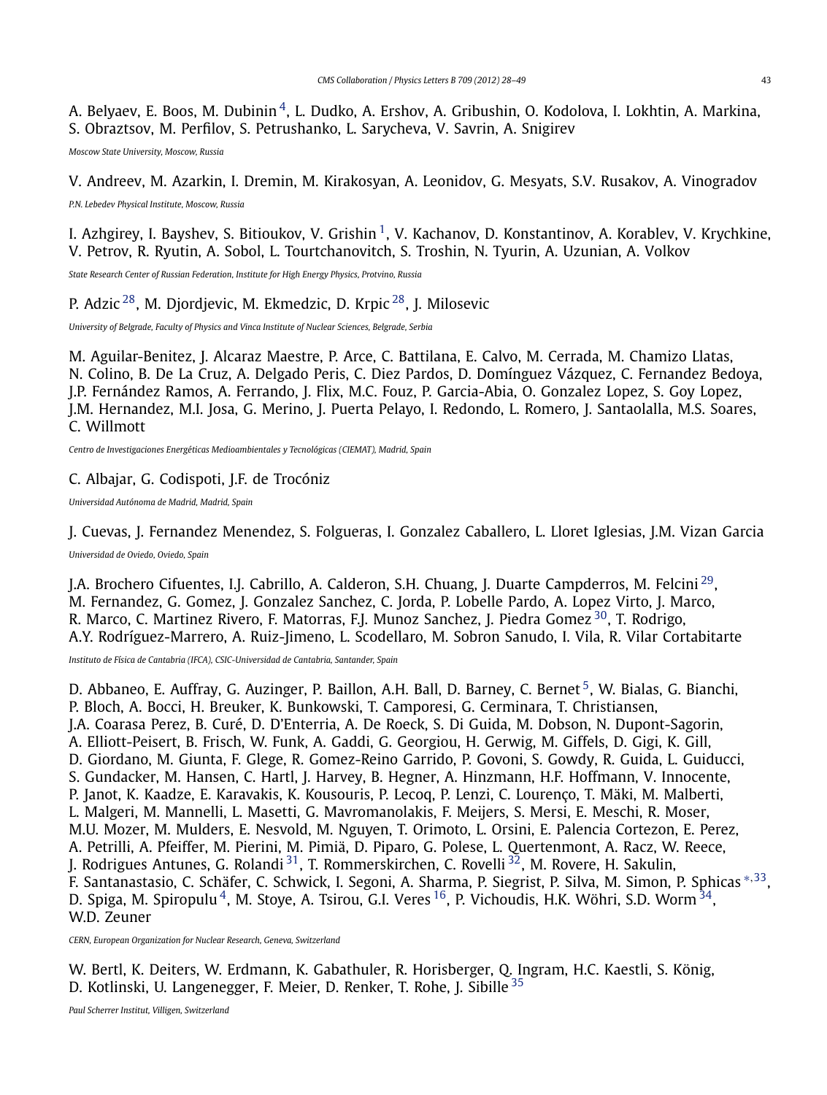A. Belyaev, E. Boos, M. Dubinin<sup>4</sup>, L. Dudko, A. Ershov, A. Gribushin, O. Kodolova, I. Lokhtin, A. Markina, S. Obraztsov, M. Perfilov, S. Petrushanko, L. Sarycheva, V. Savrin, A. Snigirev

*Moscow State University, Moscow, Russia*

V. Andreev, M. Azarkin, I. Dremin, M. Kirakosyan, A. Leonidov, G. Mesyats, S.V. Rusakov, A. Vinogradov *P.N. Lebedev Physical Institute, Moscow, Russia*

I. Azhgirey, I. Bayshev, S. Bitioukov, V. Grishin<sup>1</sup>, V. Kachanov, D. Konstantinov, A. Korablev, V. Krychkine, V. Petrov, R. Ryutin, A. Sobol, L. Tourtchanovitch, S. Troshin, N. Tyurin, A. Uzunian, A. Volkov

*State Research Center of Russian Federation, Institute for High Energy Physics, Protvino, Russia*

P. Adzic<sup>28</sup>, M. Djordjevic, M. Ekmedzic, D. Krpic<sup>28</sup>, J. Milosevic

*University of Belgrade, Faculty of Physics and Vinca Institute of Nuclear Sciences, Belgrade, Serbia*

M. Aguilar-Benitez, J. Alcaraz Maestre, P. Arce, C. Battilana, E. Calvo, M. Cerrada, M. Chamizo Llatas, N. Colino, B. De La Cruz, A. Delgado Peris, C. Diez Pardos, D. Domínguez Vázquez, C. Fernandez Bedoya, J.P. Fernández Ramos, A. Ferrando, J. Flix, M.C. Fouz, P. Garcia-Abia, O. Gonzalez Lopez, S. Goy Lopez, J.M. Hernandez, M.I. Josa, G. Merino, J. Puerta Pelayo, I. Redondo, L. Romero, J. Santaolalla, M.S. Soares, C. Willmott

*Centro de Investigaciones Energéticas Medioambientales y Tecnológicas (CIEMAT), Madrid, Spain*

#### C. Albajar, G. Codispoti, J.F. de Trocóniz

*Universidad Autónoma de Madrid, Madrid, Spain*

J. Cuevas, J. Fernandez Menendez, S. Folgueras, I. Gonzalez Caballero, L. Lloret Iglesias, J.M. Vizan Garcia *Universidad de Oviedo, Oviedo, Spain*

J.A. Brochero Cifuentes, I.J. Cabrillo, A. Calderon, S.H. Chuang, J. Duarte Campderros, M. Felcini [29,](#page-21-0) M. Fernandez, G. Gomez, J. Gonzalez Sanchez, C. Jorda, P. Lobelle Pardo, A. Lopez Virto, J. Marco, R. Marco, C. Martinez Rivero, F. Matorras, F.J. Munoz Sanchez, J. Piedra Gomez [30,](#page-21-0) T. Rodrigo, A.Y. Rodríguez-Marrero, A. Ruiz-Jimeno, L. Scodellaro, M. Sobron Sanudo, I. Vila, R. Vilar Cortabitarte

*Instituto de Física de Cantabria (IFCA), CSIC-Universidad de Cantabria, Santander, Spain*

D. Abbaneo, E. Auffray, G. Auzinger, P. Baillon, A.H. Ball, D. Barney, C. Bernet<sup>5</sup>, W. Bialas, G. Bianchi, P. Bloch, A. Bocci, H. Breuker, K. Bunkowski, T. Camporesi, G. Cerminara, T. Christiansen, J.A. Coarasa Perez, B. Curé, D. D'Enterria, A. De Roeck, S. Di Guida, M. Dobson, N. Dupont-Sagorin, A. Elliott-Peisert, B. Frisch, W. Funk, A. Gaddi, G. Georgiou, H. Gerwig, M. Giffels, D. Gigi, K. Gill, D. Giordano, M. Giunta, F. Glege, R. Gomez-Reino Garrido, P. Govoni, S. Gowdy, R. Guida, L. Guiducci, S. Gundacker, M. Hansen, C. Hartl, J. Harvey, B. Hegner, A. Hinzmann, H.F. Hoffmann, V. Innocente, P. Janot, K. Kaadze, E. Karavakis, K. Kousouris, P. Lecoq, P. Lenzi, C. Lourenço, T. Mäki, M. Malberti, L. Malgeri, M. Mannelli, L. Masetti, G. Mavromanolakis, F. Meijers, S. Mersi, E. Meschi, R. Moser, M.U. Mozer, M. Mulders, E. Nesvold, M. Nguyen, T. Orimoto, L. Orsini, E. Palencia Cortezon, E. Perez, A. Petrilli, A. Pfeiffer, M. Pierini, M. Pimiä, D. Piparo, G. Polese, L. Quertenmont, A. Racz, W. Reece, J. Rodrigues Antunes, G. Rolandi<sup>31</sup>, T. Rommerskirchen, C. Rovelli<sup>32</sup>, M. Rovere, H. Sakulin, F. Santanastasio, C. Schäfer, C. Schwick, I. Segoni, A. Sharma, P. Siegrist, P. Silva, M. Simon, P. Sphicas [∗](#page-21-0)*,*[33,](#page-21-0) D. Spiga, M. Spiropulu<sup>4</sup>, M. Stoye, A. Tsirou, G.I. Veres <sup>16</sup>, P. Vichoudis, H.K. Wöhri, S.D. Worm <sup>34</sup>, W.D. Zeuner

*CERN, European Organization for Nuclear Research, Geneva, Switzerland*

W. Bertl, K. Deiters, W. Erdmann, K. Gabathuler, R. Horisberger, Q. Ingram, H.C. Kaestli, S. König, D. Kotlinski, U. Langenegger, F. Meier, D. Renker, T. Rohe, J. Sibille [35](#page-21-0)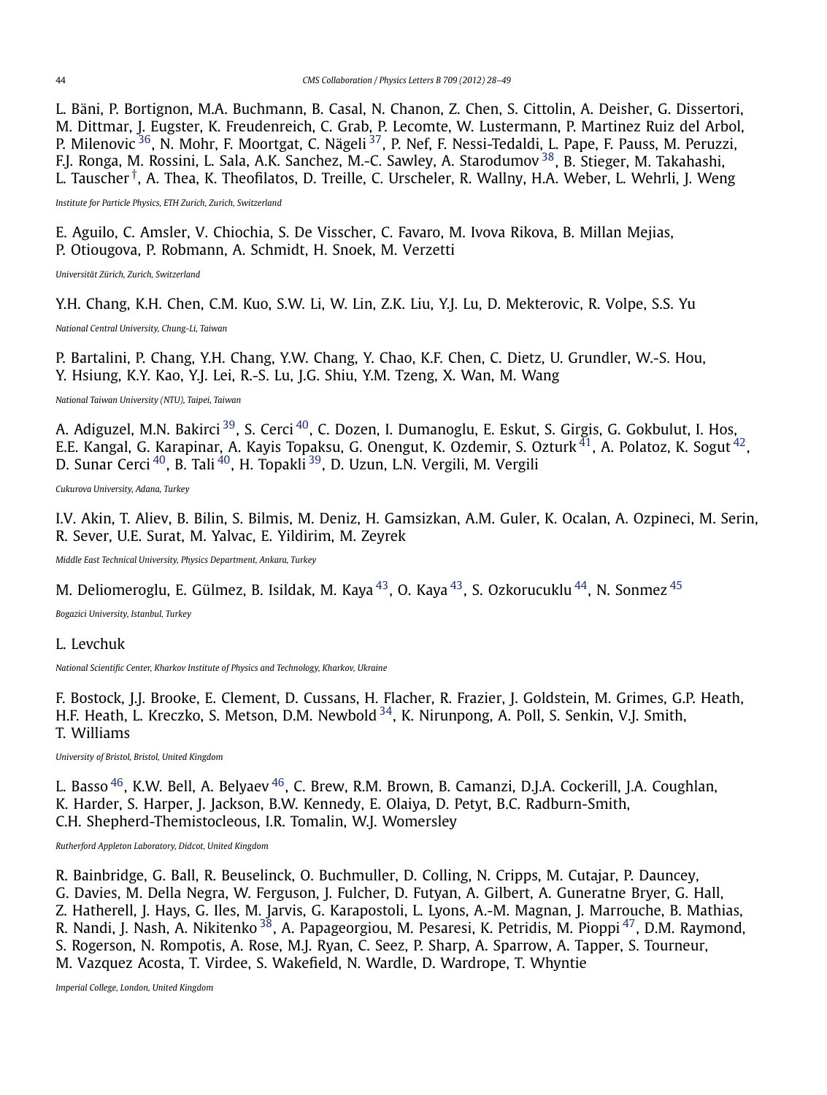L. Bäni, P. Bortignon, M.A. Buchmann, B. Casal, N. Chanon, Z. Chen, S. Cittolin, A. Deisher, G. Dissertori, M. Dittmar, J. Eugster, K. Freudenreich, C. Grab, P. Lecomte, W. Lustermann, P. Martinez Ruiz del Arbol, P. Milenovic<sup>36</sup>, N. Mohr, F. Moortgat, C. Nägeli<sup>37</sup>, P. Nef, F. Nessi-Tedaldi, L. Pape, F. Pauss, M. Peruzzi, F.J. Ronga, M. Rossini, L. Sala, A.K. Sanchez, M.-C. Sawley, A. Starodumov [38,](#page-21-0) B. Stieger, M. Takahashi, L. Tauscher [†,](#page-21-0) A. Thea, K. Theofilatos, D. Treille, C. Urscheler, R. Wallny, H.A. Weber, L. Wehrli, J. Weng

*Institute for Particle Physics, ETH Zurich, Zurich, Switzerland*

E. Aguilo, C. Amsler, V. Chiochia, S. De Visscher, C. Favaro, M. Ivova Rikova, B. Millan Mejias, P. Otiougova, P. Robmann, A. Schmidt, H. Snoek, M. Verzetti

*Universität Zürich, Zurich, Switzerland*

Y.H. Chang, K.H. Chen, C.M. Kuo, S.W. Li, W. Lin, Z.K. Liu, Y.J. Lu, D. Mekterovic, R. Volpe, S.S. Yu

*National Central University, Chung-Li, Taiwan*

P. Bartalini, P. Chang, Y.H. Chang, Y.W. Chang, Y. Chao, K.F. Chen, C. Dietz, U. Grundler, W.-S. Hou, Y. Hsiung, K.Y. Kao, Y.J. Lei, R.-S. Lu, J.G. Shiu, Y.M. Tzeng, X. Wan, M. Wang

*National Taiwan University (NTU), Taipei, Taiwan*

A. Adiguzel, M.N. Bakirci [39,](#page-21-0) S. Cerci [40,](#page-21-0) C. Dozen, I. Dumanoglu, E. Eskut, S. Girgis, G. Gokbulut, I. Hos, E.E. Kangal, G. Karapinar, A. Kayis Topaksu, G. Onengut, K. Ozdemir, S. Ozturk <sup>41</sup>, A. Polatoz, K. Sogut <sup>42</sup>, D. Sunar Cerci [40,](#page-21-0) B. Tali [40,](#page-21-0) H. Topakli [39,](#page-21-0) D. Uzun, L.N. Vergili, M. Vergili

*Cukurova University, Adana, Turkey*

I.V. Akin, T. Aliev, B. Bilin, S. Bilmis, M. Deniz, H. Gamsizkan, A.M. Guler, K. Ocalan, A. Ozpineci, M. Serin, R. Sever, U.E. Surat, M. Yalvac, E. Yildirim, M. Zeyrek

*Middle East Technical University, Physics Department, Ankara, Turkey*

M. Deliomeroglu, E. Gülmez, B. Isildak, M. Kaya [43,](#page-21-0) O. Kaya [43,](#page-21-0) S. Ozkorucuklu [44,](#page-21-0) N. Sonmez [45](#page-21-0)

*Bogazici University, Istanbul, Turkey*

#### L. Levchuk

*National Scientific Center, Kharkov Institute of Physics and Technology, Kharkov, Ukraine*

F. Bostock, J.J. Brooke, E. Clement, D. Cussans, H. Flacher, R. Frazier, J. Goldstein, M. Grimes, G.P. Heath, H.F. Heath, L. Kreczko, S. Metson, D.M. Newbold [34,](#page-21-0) K. Nirunpong, A. Poll, S. Senkin, V.J. Smith, T. Williams

*University of Bristol, Bristol, United Kingdom*

L. Basso [46,](#page-21-0) K.W. Bell, A. Belyaev [46,](#page-21-0) C. Brew, R.M. Brown, B. Camanzi, D.J.A. Cockerill, J.A. Coughlan, K. Harder, S. Harper, J. Jackson, B.W. Kennedy, E. Olaiya, D. Petyt, B.C. Radburn-Smith, C.H. Shepherd-Themistocleous, I.R. Tomalin, W.J. Womersley

*Rutherford Appleton Laboratory, Didcot, United Kingdom*

R. Bainbridge, G. Ball, R. Beuselinck, O. Buchmuller, D. Colling, N. Cripps, M. Cutajar, P. Dauncey, G. Davies, M. Della Negra, W. Ferguson, J. Fulcher, D. Futyan, A. Gilbert, A. Guneratne Bryer, G. Hall, Z. Hatherell, J. Hays, G. Iles, M. Jarvis, G. Karapostoli, L. Lyons, A.-M. Magnan, J. Marrouche, B. Mathias, R. Nandi, J. Nash, A. Nikitenko [38,](#page-21-0) A. Papageorgiou, M. Pesaresi, K. Petridis, M. Pioppi [47,](#page-21-0) D.M. Raymond, S. Rogerson, N. Rompotis, A. Rose, M.J. Ryan, C. Seez, P. Sharp, A. Sparrow, A. Tapper, S. Tourneur, M. Vazquez Acosta, T. Virdee, S. Wakefield, N. Wardle, D. Wardrope, T. Whyntie

*Imperial College, London, United Kingdom*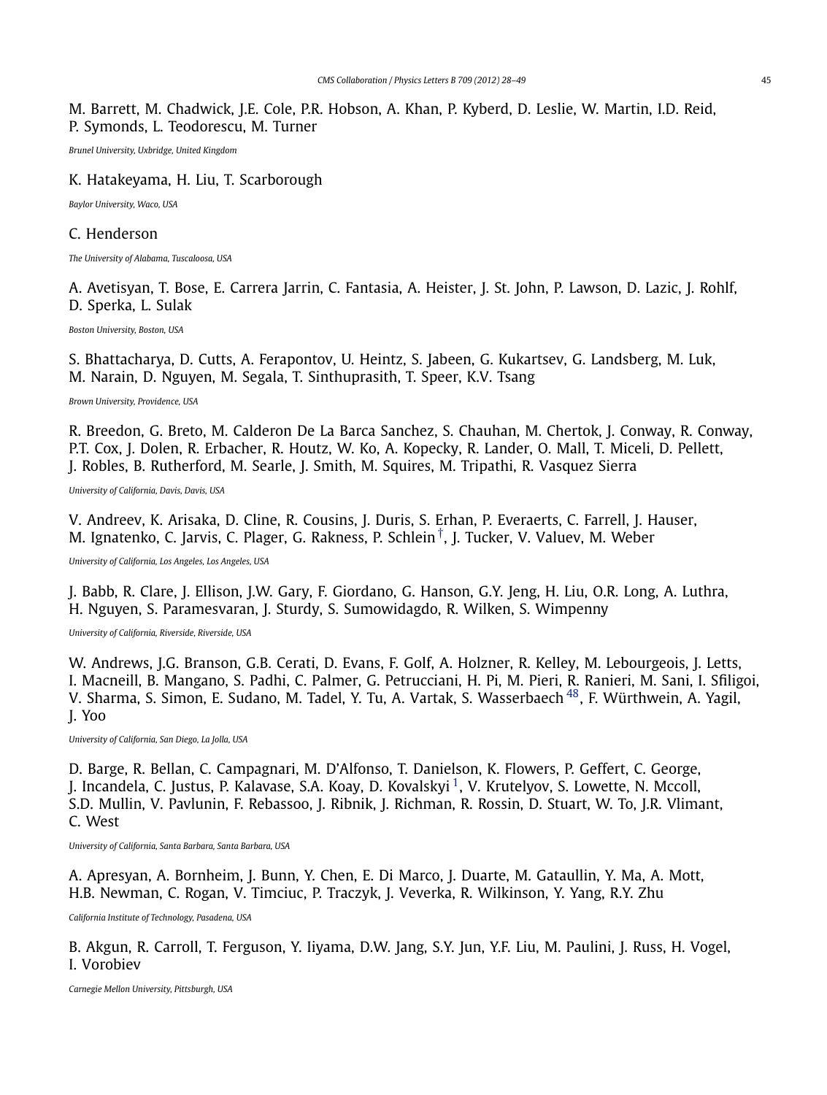# M. Barrett, M. Chadwick, J.E. Cole, P.R. Hobson, A. Khan, P. Kyberd, D. Leslie, W. Martin, I.D. Reid, P. Symonds, L. Teodorescu, M. Turner

*Brunel University, Uxbridge, United Kingdom*

## K. Hatakeyama, H. Liu, T. Scarborough

*Baylor University, Waco, USA*

## C. Henderson

*The University of Alabama, Tuscaloosa, USA*

A. Avetisyan, T. Bose, E. Carrera Jarrin, C. Fantasia, A. Heister, J. St. John, P. Lawson, D. Lazic, J. Rohlf, D. Sperka, L. Sulak

*Boston University, Boston, USA*

S. Bhattacharya, D. Cutts, A. Ferapontov, U. Heintz, S. Jabeen, G. Kukartsev, G. Landsberg, M. Luk, M. Narain, D. Nguyen, M. Segala, T. Sinthuprasith, T. Speer, K.V. Tsang

*Brown University, Providence, USA*

R. Breedon, G. Breto, M. Calderon De La Barca Sanchez, S. Chauhan, M. Chertok, J. Conway, R. Conway, P.T. Cox, J. Dolen, R. Erbacher, R. Houtz, W. Ko, A. Kopecky, R. Lander, O. Mall, T. Miceli, D. Pellett, J. Robles, B. Rutherford, M. Searle, J. Smith, M. Squires, M. Tripathi, R. Vasquez Sierra

*University of California, Davis, Davis, USA*

V. Andreev, K. Arisaka, D. Cline, R. Cousins, J. Duris, S. Erhan, P. Everaerts, C. Farrell, J. Hauser, M. Ignatenko, C. Jarvis, C. Plager, G. Rakness, P. Schlein [†,](#page-21-0) J. Tucker, V. Valuev, M. Weber

*University of California, Los Angeles, Los Angeles, USA*

J. Babb, R. Clare, J. Ellison, J.W. Gary, F. Giordano, G. Hanson, G.Y. Jeng, H. Liu, O.R. Long, A. Luthra, H. Nguyen, S. Paramesvaran, J. Sturdy, S. Sumowidagdo, R. Wilken, S. Wimpenny

*University of California, Riverside, Riverside, USA*

W. Andrews, J.G. Branson, G.B. Cerati, D. Evans, F. Golf, A. Holzner, R. Kelley, M. Lebourgeois, J. Letts, I. Macneill, B. Mangano, S. Padhi, C. Palmer, G. Petrucciani, H. Pi, M. Pieri, R. Ranieri, M. Sani, I. Sfiligoi, V. Sharma, S. Simon, E. Sudano, M. Tadel, Y. Tu, A. Vartak, S. Wasserbaech [48,](#page-21-0) F. Würthwein, A. Yagil, J. Yoo

*University of California, San Diego, La Jolla, USA*

D. Barge, R. Bellan, C. Campagnari, M. D'Alfonso, T. Danielson, K. Flowers, P. Geffert, C. George, J. Incandela, C. Justus, P. Kalavase, S.A. Koay, D. Kovalskyi<sup>1</sup>, V. Krutelyov, S. Lowette, N. Mccoll, S.D. Mullin, V. Pavlunin, F. Rebassoo, J. Ribnik, J. Richman, R. Rossin, D. Stuart, W. To, J.R. Vlimant, C. West

*University of California, Santa Barbara, Santa Barbara, USA*

A. Apresyan, A. Bornheim, J. Bunn, Y. Chen, E. Di Marco, J. Duarte, M. Gataullin, Y. Ma, A. Mott, H.B. Newman, C. Rogan, V. Timciuc, P. Traczyk, J. Veverka, R. Wilkinson, Y. Yang, R.Y. Zhu

*California Institute of Technology, Pasadena, USA*

B. Akgun, R. Carroll, T. Ferguson, Y. Iiyama, D.W. Jang, S.Y. Jun, Y.F. Liu, M. Paulini, J. Russ, H. Vogel, I. Vorobiev

*Carnegie Mellon University, Pittsburgh, USA*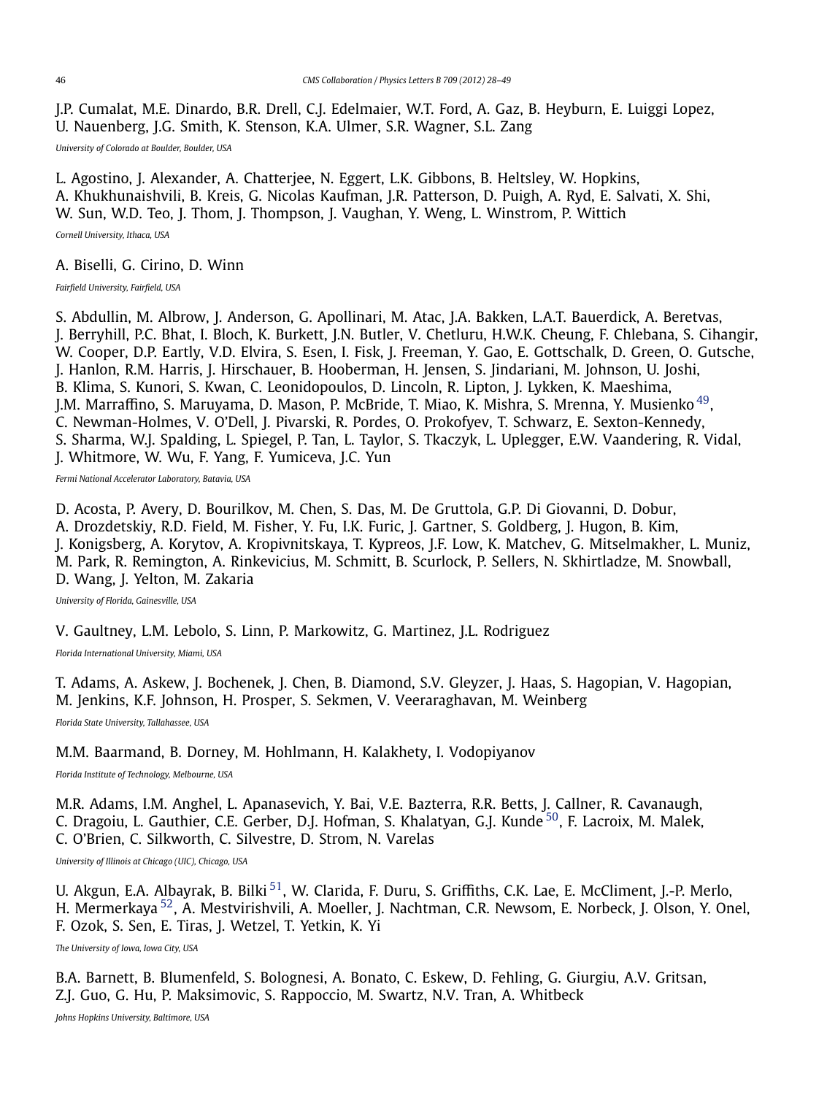J.P. Cumalat, M.E. Dinardo, B.R. Drell, C.J. Edelmaier, W.T. Ford, A. Gaz, B. Heyburn, E. Luiggi Lopez, U. Nauenberg, J.G. Smith, K. Stenson, K.A. Ulmer, S.R. Wagner, S.L. Zang

*University of Colorado at Boulder, Boulder, USA*

L. Agostino, J. Alexander, A. Chatterjee, N. Eggert, L.K. Gibbons, B. Heltsley, W. Hopkins, A. Khukhunaishvili, B. Kreis, G. Nicolas Kaufman, J.R. Patterson, D. Puigh, A. Ryd, E. Salvati, X. Shi, W. Sun, W.D. Teo, J. Thom, J. Thompson, J. Vaughan, Y. Weng, L. Winstrom, P. Wittich

*Cornell University, Ithaca, USA*

A. Biselli, G. Cirino, D. Winn

*Fairfield University, Fairfield, USA*

S. Abdullin, M. Albrow, J. Anderson, G. Apollinari, M. Atac, J.A. Bakken, L.A.T. Bauerdick, A. Beretvas, J. Berryhill, P.C. Bhat, I. Bloch, K. Burkett, J.N. Butler, V. Chetluru, H.W.K. Cheung, F. Chlebana, S. Cihangir, W. Cooper, D.P. Eartly, V.D. Elvira, S. Esen, I. Fisk, J. Freeman, Y. Gao, E. Gottschalk, D. Green, O. Gutsche, J. Hanlon, R.M. Harris, J. Hirschauer, B. Hooberman, H. Jensen, S. Jindariani, M. Johnson, U. Joshi, B. Klima, S. Kunori, S. Kwan, C. Leonidopoulos, D. Lincoln, R. Lipton, J. Lykken, K. Maeshima, J.M. Marraffino, S. Maruyama, D. Mason, P. McBride, T. Miao, K. Mishra, S. Mrenna, Y. Musienko [49,](#page-21-0) C. Newman-Holmes, V. O'Dell, J. Pivarski, R. Pordes, O. Prokofyev, T. Schwarz, E. Sexton-Kennedy, S. Sharma, W.J. Spalding, L. Spiegel, P. Tan, L. Taylor, S. Tkaczyk, L. Uplegger, E.W. Vaandering, R. Vidal, J. Whitmore, W. Wu, F. Yang, F. Yumiceva, J.C. Yun

*Fermi National Accelerator Laboratory, Batavia, USA*

D. Acosta, P. Avery, D. Bourilkov, M. Chen, S. Das, M. De Gruttola, G.P. Di Giovanni, D. Dobur, A. Drozdetskiy, R.D. Field, M. Fisher, Y. Fu, I.K. Furic, J. Gartner, S. Goldberg, J. Hugon, B. Kim, J. Konigsberg, A. Korytov, A. Kropivnitskaya, T. Kypreos, J.F. Low, K. Matchev, G. Mitselmakher, L. Muniz, M. Park, R. Remington, A. Rinkevicius, M. Schmitt, B. Scurlock, P. Sellers, N. Skhirtladze, M. Snowball, D. Wang, J. Yelton, M. Zakaria

*University of Florida, Gainesville, USA*

V. Gaultney, L.M. Lebolo, S. Linn, P. Markowitz, G. Martinez, J.L. Rodriguez

*Florida International University, Miami, USA*

T. Adams, A. Askew, J. Bochenek, J. Chen, B. Diamond, S.V. Gleyzer, J. Haas, S. Hagopian, V. Hagopian, M. Jenkins, K.F. Johnson, H. Prosper, S. Sekmen, V. Veeraraghavan, M. Weinberg

*Florida State University, Tallahassee, USA*

M.M. Baarmand, B. Dorney, M. Hohlmann, H. Kalakhety, I. Vodopiyanov

*Florida Institute of Technology, Melbourne, USA*

M.R. Adams, I.M. Anghel, L. Apanasevich, Y. Bai, V.E. Bazterra, R.R. Betts, J. Callner, R. Cavanaugh, C. Dragoiu, L. Gauthier, C.E. Gerber, D.J. Hofman, S. Khalatyan, G.J. Kunde [50,](#page-21-0) F. Lacroix, M. Malek, C. O'Brien, C. Silkworth, C. Silvestre, D. Strom, N. Varelas

*University of Illinois at Chicago (UIC), Chicago, USA*

U. Akgun, E.A. Albayrak, B. Bilki <sup>[51](#page-21-0)</sup>, W. Clarida, F. Duru, S. Griffiths, C.K. Lae, E. McCliment, J.-P. Merlo, H. Mermerkaya <sup>52</sup>, A. Mestvirishvili, A. Moeller, J. Nachtman, C.R. Newsom, E. Norbeck, J. Olson, Y. Onel, F. Ozok, S. Sen, E. Tiras, J. Wetzel, T. Yetkin, K. Yi

*The University of Iowa, Iowa City, USA*

B.A. Barnett, B. Blumenfeld, S. Bolognesi, A. Bonato, C. Eskew, D. Fehling, G. Giurgiu, A.V. Gritsan, Z.J. Guo, G. Hu, P. Maksimovic, S. Rappoccio, M. Swartz, N.V. Tran, A. Whitbeck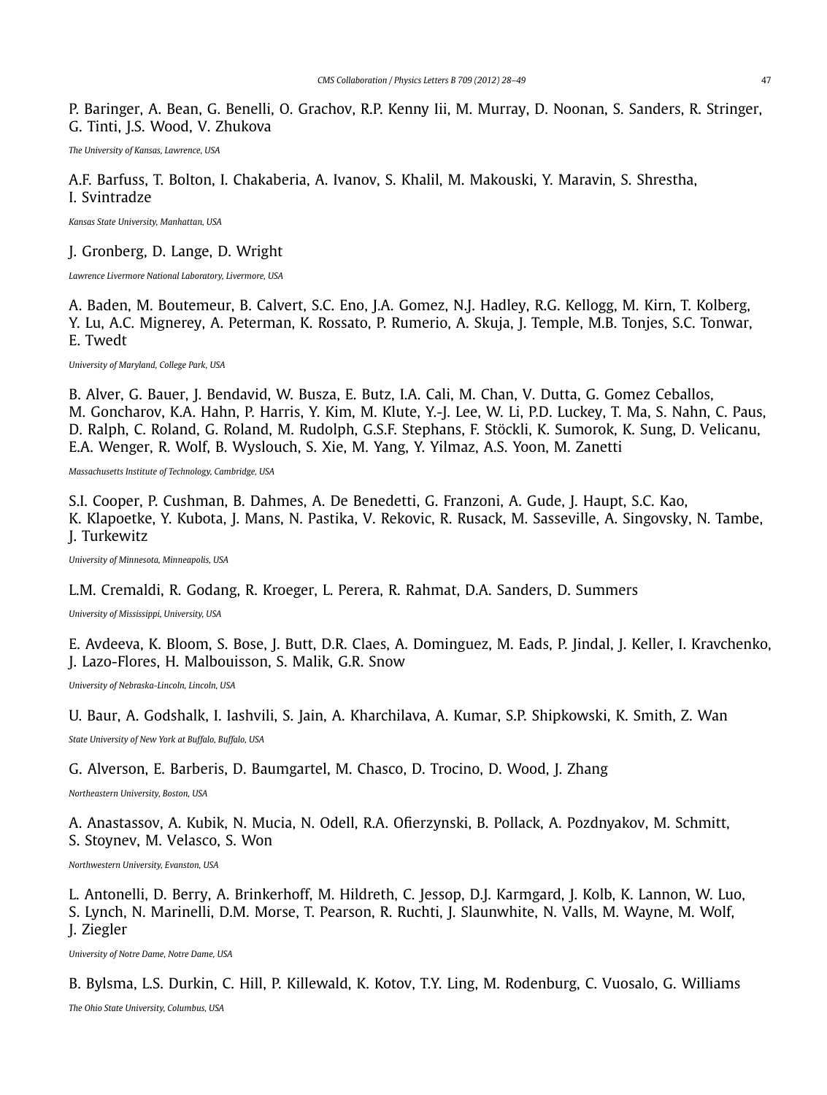## P. Baringer, A. Bean, G. Benelli, O. Grachov, R.P. Kenny Iii, M. Murray, D. Noonan, S. Sanders, R. Stringer, G. Tinti, J.S. Wood, V. Zhukova

*The University of Kansas, Lawrence, USA*

A.F. Barfuss, T. Bolton, I. Chakaberia, A. Ivanov, S. Khalil, M. Makouski, Y. Maravin, S. Shrestha, I. Svintradze

*Kansas State University, Manhattan, USA*

## J. Gronberg, D. Lange, D. Wright

*Lawrence Livermore National Laboratory, Livermore, USA*

A. Baden, M. Boutemeur, B. Calvert, S.C. Eno, J.A. Gomez, N.J. Hadley, R.G. Kellogg, M. Kirn, T. Kolberg, Y. Lu, A.C. Mignerey, A. Peterman, K. Rossato, P. Rumerio, A. Skuja, J. Temple, M.B. Tonjes, S.C. Tonwar, E. Twedt

*University of Maryland, College Park, USA*

B. Alver, G. Bauer, J. Bendavid, W. Busza, E. Butz, I.A. Cali, M. Chan, V. Dutta, G. Gomez Ceballos, M. Goncharov, K.A. Hahn, P. Harris, Y. Kim, M. Klute, Y.-J. Lee, W. Li, P.D. Luckey, T. Ma, S. Nahn, C. Paus, D. Ralph, C. Roland, G. Roland, M. Rudolph, G.S.F. Stephans, F. Stöckli, K. Sumorok, K. Sung, D. Velicanu, E.A. Wenger, R. Wolf, B. Wyslouch, S. Xie, M. Yang, Y. Yilmaz, A.S. Yoon, M. Zanetti

*Massachusetts Institute of Technology, Cambridge, USA*

S.I. Cooper, P. Cushman, B. Dahmes, A. De Benedetti, G. Franzoni, A. Gude, J. Haupt, S.C. Kao, K. Klapoetke, Y. Kubota, J. Mans, N. Pastika, V. Rekovic, R. Rusack, M. Sasseville, A. Singovsky, N. Tambe, J. Turkewitz

*University of Minnesota, Minneapolis, USA*

L.M. Cremaldi, R. Godang, R. Kroeger, L. Perera, R. Rahmat, D.A. Sanders, D. Summers

*University of Mississippi, University, USA*

E. Avdeeva, K. Bloom, S. Bose, J. Butt, D.R. Claes, A. Dominguez, M. Eads, P. Jindal, J. Keller, I. Kravchenko, J. Lazo-Flores, H. Malbouisson, S. Malik, G.R. Snow

*University of Nebraska-Lincoln, Lincoln, USA*

U. Baur, A. Godshalk, I. Iashvili, S. Jain, A. Kharchilava, A. Kumar, S.P. Shipkowski, K. Smith, Z. Wan

*State University of New York at Buffalo, Buffalo, USA*

G. Alverson, E. Barberis, D. Baumgartel, M. Chasco, D. Trocino, D. Wood, J. Zhang

*Northeastern University, Boston, USA*

A. Anastassov, A. Kubik, N. Mucia, N. Odell, R.A. Ofierzynski, B. Pollack, A. Pozdnyakov, M. Schmitt, S. Stoynev, M. Velasco, S. Won

*Northwestern University, Evanston, USA*

L. Antonelli, D. Berry, A. Brinkerhoff, M. Hildreth, C. Jessop, D.J. Karmgard, J. Kolb, K. Lannon, W. Luo, S. Lynch, N. Marinelli, D.M. Morse, T. Pearson, R. Ruchti, J. Slaunwhite, N. Valls, M. Wayne, M. Wolf, J. Ziegler

*University of Notre Dame, Notre Dame, USA*

B. Bylsma, L.S. Durkin, C. Hill, P. Killewald, K. Kotov, T.Y. Ling, M. Rodenburg, C. Vuosalo, G. Williams

*The Ohio State University, Columbus, USA*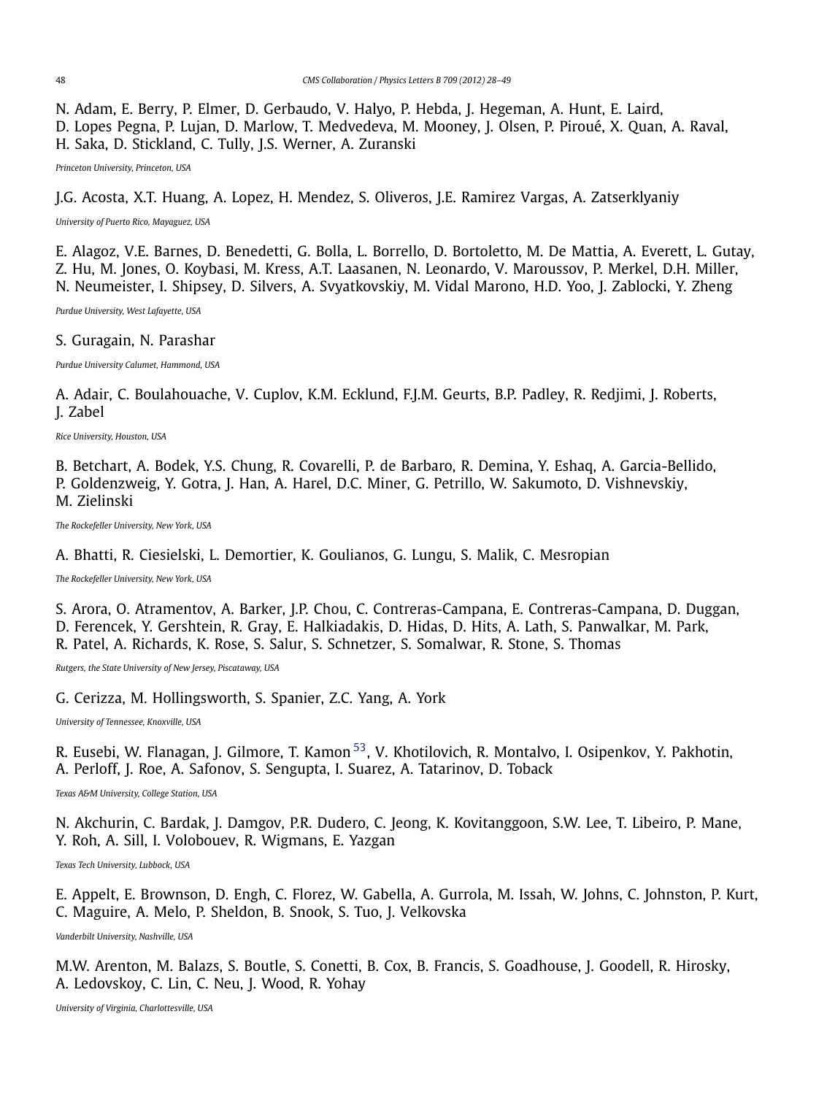N. Adam, E. Berry, P. Elmer, D. Gerbaudo, V. Halyo, P. Hebda, J. Hegeman, A. Hunt, E. Laird, D. Lopes Pegna, P. Lujan, D. Marlow, T. Medvedeva, M. Mooney, J. Olsen, P. Piroué, X. Quan, A. Raval, H. Saka, D. Stickland, C. Tully, J.S. Werner, A. Zuranski

*Princeton University, Princeton, USA*

J.G. Acosta, X.T. Huang, A. Lopez, H. Mendez, S. Oliveros, J.E. Ramirez Vargas, A. Zatserklyaniy

*University of Puerto Rico, Mayaguez, USA*

E. Alagoz, V.E. Barnes, D. Benedetti, G. Bolla, L. Borrello, D. Bortoletto, M. De Mattia, A. Everett, L. Gutay, Z. Hu, M. Jones, O. Koybasi, M. Kress, A.T. Laasanen, N. Leonardo, V. Maroussov, P. Merkel, D.H. Miller, N. Neumeister, I. Shipsey, D. Silvers, A. Svyatkovskiy, M. Vidal Marono, H.D. Yoo, J. Zablocki, Y. Zheng

*Purdue University, West Lafayette, USA*

S. Guragain, N. Parashar

*Purdue University Calumet, Hammond, USA*

A. Adair, C. Boulahouache, V. Cuplov, K.M. Ecklund, F.J.M. Geurts, B.P. Padley, R. Redjimi, J. Roberts, J. Zabel

*Rice University, Houston, USA*

B. Betchart, A. Bodek, Y.S. Chung, R. Covarelli, P. de Barbaro, R. Demina, Y. Eshaq, A. Garcia-Bellido, P. Goldenzweig, Y. Gotra, J. Han, A. Harel, D.C. Miner, G. Petrillo, W. Sakumoto, D. Vishnevskiy, M. Zielinski

*The Rockefeller University, New York, USA*

A. Bhatti, R. Ciesielski, L. Demortier, K. Goulianos, G. Lungu, S. Malik, C. Mesropian

*The Rockefeller University, New York, USA*

S. Arora, O. Atramentov, A. Barker, J.P. Chou, C. Contreras-Campana, E. Contreras-Campana, D. Duggan, D. Ferencek, Y. Gershtein, R. Gray, E. Halkiadakis, D. Hidas, D. Hits, A. Lath, S. Panwalkar, M. Park, R. Patel, A. Richards, K. Rose, S. Salur, S. Schnetzer, S. Somalwar, R. Stone, S. Thomas

*Rutgers, the State University of New Jersey, Piscataway, USA*

G. Cerizza, M. Hollingsworth, S. Spanier, Z.C. Yang, A. York

*University of Tennessee, Knoxville, USA*

R. Eusebi, W. Flanagan, J. Gilmore, T. Kamon <sup>[53](#page-21-0)</sup>, V. Khotilovich, R. Montalvo, I. Osipenkov, Y. Pakhotin, A. Perloff, J. Roe, A. Safonov, S. Sengupta, I. Suarez, A. Tatarinov, D. Toback

*Texas A&M University, College Station, USA*

N. Akchurin, C. Bardak, J. Damgov, P.R. Dudero, C. Jeong, K. Kovitanggoon, S.W. Lee, T. Libeiro, P. Mane, Y. Roh, A. Sill, I. Volobouev, R. Wigmans, E. Yazgan

*Texas Tech University, Lubbock, USA*

E. Appelt, E. Brownson, D. Engh, C. Florez, W. Gabella, A. Gurrola, M. Issah, W. Johns, C. Johnston, P. Kurt, C. Maguire, A. Melo, P. Sheldon, B. Snook, S. Tuo, J. Velkovska

*Vanderbilt University, Nashville, USA*

M.W. Arenton, M. Balazs, S. Boutle, S. Conetti, B. Cox, B. Francis, S. Goadhouse, J. Goodell, R. Hirosky, A. Ledovskoy, C. Lin, C. Neu, J. Wood, R. Yohay

*University of Virginia, Charlottesville, USA*